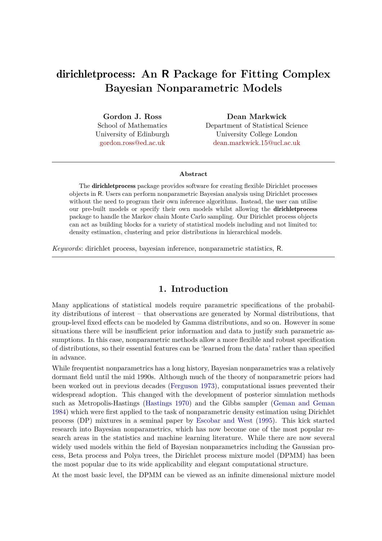# dirichletprocess**: An R Package for Fitting Complex Bayesian Nonparametric Models**

**Gordon J. Ross** School of Mathematics University of Edinburgh [gordon.ross@ed.ac.uk](Gordon.Ross@ed.ac.uk)

**Dean Markwick** Department of Statistical Science University College London <dean.markwick.15@ucl.ac.uk>

#### **Abstract**

The dirichletprocess package provides software for creating flexible Dirichlet processes objects in R. Users can perform nonparametric Bayesian analysis using Dirichlet processes without the need to program their own inference algorithms. Instead, the user can utilise our pre-built models or specify their own models whilst allowing the dirichletprocess package to handle the Markov chain Monte Carlo sampling. Our Dirichlet process objects can act as building blocks for a variety of statistical models including and not limited to: density estimation, clustering and prior distributions in hierarchical models.

*Keywords*: dirichlet process, bayesian inference, nonparametric statistics, R.

### **1. Introduction**

Many applications of statistical models require parametric specifications of the probability distributions of interest – that observations are generated by Normal distributions, that group-level fixed effects can be modeled by Gamma distributions, and so on. However in some situations there will be insufficient prior information and data to justify such parametric assumptions. In this case, nonparametric methods allow a more flexible and robust specification of distributions, so their essential features can be 'learned from the data' rather than specified in advance.

While frequentist nonparametrics has a long history, Bayesian nonparametrics was a relatively dormant field until the mid 1990s. Although much of the theory of nonparametric priors had been worked out in previous decades [\(Ferguson 1973\)](#page-39-0), computational issues prevented their widespread adoption. This changed with the development of posterior simulation methods such as Metropolis-Hastings [\(Hastings 1970\)](#page-39-1) and the Gibbs sampler [\(Geman and Geman](#page-39-2) [1984\)](#page-39-2) which were first applied to the task of nonparametric density estimation using Dirichlet process (DP) mixtures in a seminal paper by [Escobar and West](#page-39-3) [\(1995\)](#page-39-3). This kick started research into Bayesian nonparametrics, which has now become one of the most popular research areas in the statistics and machine learning literature. While there are now several widely used models within the field of Bayesian nonparametrics including the Gaussian process, Beta process and Polya trees, the Dirichlet process mixture model (DPMM) has been the most popular due to its wide applicability and elegant computational structure.

At the most basic level, the DPMM can be viewed as an infinite dimensional mixture model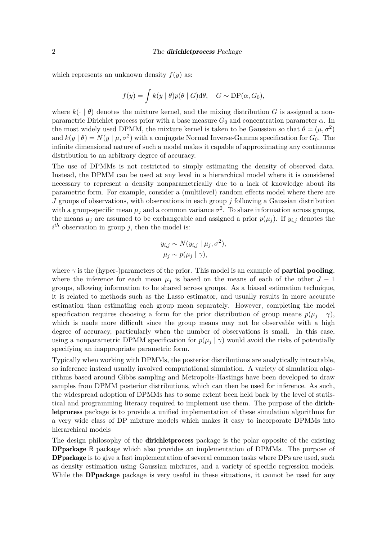which represents an unknown density  $f(y)$  as:

$$
f(y) = \int k(y | \theta) p(\theta | G) d\theta, \quad G \sim DP(\alpha, G_0),
$$

where  $k(\cdot | \theta)$  denotes the mixture kernel, and the mixing distribution *G* is assigned a nonparametric Dirichlet process prior with a base measure *G*<sup>0</sup> and concentration parameter *α*. In the most widely used DPMM, the mixture kernel is taken to be Gaussian so that  $\theta = (\mu, \sigma^2)$ and  $k(y | \theta) = N(y | \mu, \sigma^2)$  with a conjugate Normal Inverse-Gamma specification for  $G_0$ . The infinite dimensional nature of such a model makes it capable of approximating any continuous distribution to an arbitrary degree of accuracy.

The use of DPMMs is not restricted to simply estimating the density of observed data. Instead, the DPMM can be used at any level in a hierarchical model where it is considered necessary to represent a density nonparametrically due to a lack of knowledge about its parametric form. For example, consider a (multilevel) random effects model where there are *J* groups of observations, with observations in each group *j* following a Gaussian distribution with a group-specific mean  $\mu_j$  and a common variance  $\sigma^2$ . To share information across groups, the means  $\mu_j$  are assumed to be exchangeable and assigned a prior  $p(\mu_j)$ . If  $y_{i,j}$  denotes the  $i^{th}$  observation in group *j*, then the model is:

$$
y_{i,j} \sim N(y_{i,j} | \mu_j, \sigma^2),
$$
  

$$
\mu_j \sim p(\mu_j | \gamma),
$$

where  $\gamma$  is the (hyper-)parameters of the prior. This model is an example of **partial pooling**, where the inference for each mean  $\mu_j$  is based on the means of each of the other  $J-1$ groups, allowing information to be shared across groups. As a biased estimation technique, it is related to methods such as the Lasso estimator, and usually results in more accurate estimation than estimating each group mean separately. However, completing the model specification requires choosing a form for the prior distribution of group means  $p(\mu_i | \gamma)$ , which is made more difficult since the group means may not be observable with a high degree of accuracy, particularly when the number of observations is small. In this case, using a nonparametric DPMM specification for  $p(\mu_i | \gamma)$  would avoid the risks of potentially specifying an inappropriate parametric form.

Typically when working with DPMMs, the posterior distributions are analytically intractable, so inference instead usually involved computational simulation. A variety of simulation algorithms based around Gibbs sampling and Metropolis-Hastings have been developed to draw samples from DPMM posterior distributions, which can then be used for inference. As such, the widespread adoption of DPMMs has to some extent been held back by the level of statistical and programming literacy required to implement use them. The purpose of the dirichletprocess package is to provide a unified implementation of these simulation algorithms for a very wide class of DP mixture models which makes it easy to incorporate DPMMs into hierarchical models

The design philosophy of the **dirichlet process** package is the polar opposite of the existing DPpackage R package which also provides an implementation of DPMMs. The purpose of DPpackage is to give a fast implementation of several common tasks where DPs are used, such as density estimation using Gaussian mixtures, and a variety of specific regression models. While the **DPpackage** package is very useful in these situations, it cannot be used for any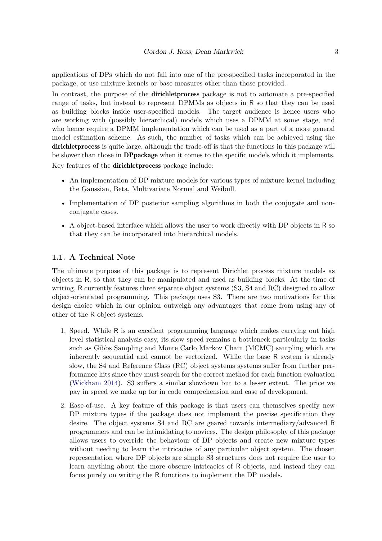applications of DPs which do not fall into one of the pre-specified tasks incorporated in the package, or use mixture kernels or base measures other than those provided.

In contrast, the purpose of the **dirichlet process** package is not to automate a pre-specified range of tasks, but instead to represent DPMMs as objects in R so that they can be used as building blocks inside user-specified models. The target audience is hence users who are working with (possibly hierarchical) models which uses a DPMM at some stage, and who hence require a DPMM implementation which can be used as a part of a more general model estimation scheme. As such, the number of tasks which can be achieved using the dirichlet process is quite large, although the trade-off is that the functions in this package will be slower than those in DPpackage when it comes to the specific models which it implements. Key features of the dirichletprocess package include:

- An implementation of DP mixture models for various types of mixture kernel including the Gaussian, Beta, Multivariate Normal and Weibull.
- Implementation of DP posterior sampling algorithms in both the conjugate and nonconjugate cases.
- A object-based interface which allows the user to work directly with DP objects in R so that they can be incorporated into hierarchical models.

#### **1.1. A Technical Note**

The ultimate purpose of this package is to represent Dirichlet process mixture models as objects in R, so that they can be manipulated and used as building blocks. At the time of writing, R currently features three separate object systems (S3, S4 and RC) designed to allow object-orientated programming. This package uses S3. There are two motivations for this design choice which in our opinion outweigh any advantages that come from using any of other of the R object systems.

- 1. Speed. While R is an excellent programming language which makes carrying out high level statistical analysis easy, its slow speed remains a bottleneck particularly in tasks such as Gibbs Sampling and Monte Carlo Markov Chain (MCMC) sampling which are inherently sequential and cannot be vectorized. While the base R system is already slow, the S4 and Reference Class (RC) object systems systems suffer from further performance hits since they must search for the correct method for each function evaluation [\(Wickham 2014\)](#page-40-0). S3 suffers a similar slowdown but to a lesser extent. The price we pay in speed we make up for in code comprehension and ease of development.
- 2. Ease-of-use. A key feature of this package is that users can themselves specify new DP mixture types if the package does not implement the precise specification they desire. The object systems S4 and RC are geared towards intermediary/advanced R programmers and can be intimidating to novices. The design philosophy of this package allows users to override the behaviour of DP objects and create new mixture types without needing to learn the intricacies of any particular object system. The chosen representation where DP objects are simple S3 structures does not require the user to learn anything about the more obscure intricacies of R objects, and instead they can focus purely on writing the R functions to implement the DP models.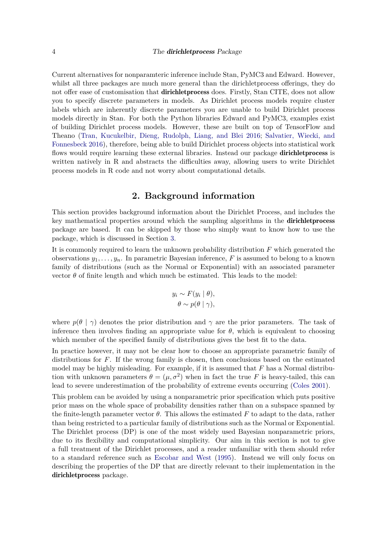Current alternatives for nonparamteric inference include Stan, PyMC3 and Edward. However, whilst all three packages are much more general than the dirichletprocess offerings, they do not offer ease of customisation that **dirichlet process** does. Firstly, Stan CITE, does not allow you to specify discrete parameters in models. As Dirichlet process models require cluster labels which are inherently discrete parameters you are unable to build Dirichlet process models directly in Stan. For both the Python libraries Edward and PyMC3, examples exist of building Dirichlet process models. However, these are built on top of TensorFlow and Theano [\(Tran, Kucukelbir, Dieng, Rudolph, Liang, and Blei 2016;](#page-40-1) [Salvatier, Wiecki, and](#page-40-2) [Fonnesbeck 2016\)](#page-40-2), therefore, being able to build Dirichlet process objects into statistical work flows would require learning these external libraries. Instead our package **dirichlet process** is written natively in R and abstracts the difficulties away, allowing users to write Dirichlet process models in R code and not worry about computational details.

### **2. Background information**

<span id="page-3-0"></span>This section provides background information about the Dirichlet Process, and includes the key mathematical properties around which the sampling algorithms in the **dirichlet process** package are based. It can be skipped by those who simply want to know how to use the package, which is discussed in Section [3.](#page-11-0)

It is commonly required to learn the unknown probability distribution *F* which generated the observations  $y_1, \ldots, y_n$ . In parametric Bayesian inference, *F* is assumed to belong to a known family of distributions (such as the Normal or Exponential) with an associated parameter vector  $\theta$  of finite length and which much be estimated. This leads to the model:

$$
y_i \sim F(y_i | \theta),
$$
  

$$
\theta \sim p(\theta | \gamma),
$$

where  $p(\theta | \gamma)$  denotes the prior distribution and  $\gamma$  are the prior parameters. The task of inference then involves finding an appropriate value for  $\theta$ , which is equivalent to choosing which member of the specified family of distributions gives the best fit to the data.

In practice however, it may not be clear how to choose an appropriate parametric family of distributions for *F*. If the wrong family is chosen, then conclusions based on the estimated model may be highly misleading. For example, if it is assumed that *F* has a Normal distribution with unknown parameters  $\theta = (\mu, \sigma^2)$  when in fact the true *F* is heavy-tailed, this can lead to severe underestimation of the probability of extreme events occurring [\(Coles 2001\)](#page-39-4).

This problem can be avoided by using a nonparametric prior specification which puts positive prior mass on the whole space of probability densities rather than on a subspace spanned by the finite-length parameter vector  $\theta$ . This allows the estimated F to adapt to the data, rather than being restricted to a particular family of distributions such as the Normal or Exponential. The Dirichlet process (DP) is one of the most widely used Bayesian nonparametric priors, due to its flexibility and computational simplicity. Our aim in this section is not to give a full treatment of the Dirichlet processes, and a reader unfamiliar with them should refer to a standard reference such as [Escobar and West](#page-39-3) [\(1995\)](#page-39-3). Instead we will only focus on describing the properties of the DP that are directly relevant to their implementation in the dirichletprocess package.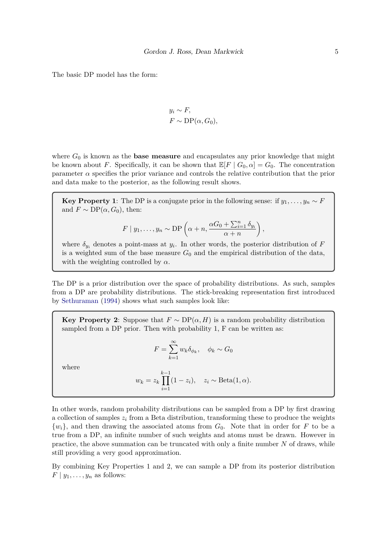The basic DP model has the form:

$$
y_i \sim F
$$
,  
\n $F \sim DP(\alpha, G_0)$ ,

where *G*<sup>0</sup> is known as the **base measure** and encapsulates any prior knowledge that might be known about *F*. Specifically, it can be shown that  $\mathbb{E}[F | G_0, \alpha] = G_0$ . The concentration parameter  $\alpha$  specifies the prior variance and controls the relative contribution that the prior and data make to the posterior, as the following result shows.

**Key Property 1**: The DP is a conjugate prior in the following sense: if  $y_1, \ldots, y_n \sim F$ and  $F \sim DP(\alpha, G_0)$ , then:

$$
F | y_1,..., y_n \sim DP\left(\alpha + n, \frac{\alpha G_0 + \sum_{i=1}^n \delta_{y_i}}{\alpha + n}\right),
$$

where  $\delta_{y_i}$  denotes a point-mass at  $y_i$ . In other words, the posterior distribution of *F* is a weighted sum of the base measure  $G_0$  and the empirical distribution of the data, with the weighting controlled by  $\alpha$ .

The DP is a prior distribution over the space of probability distributions. As such, samples from a DP are probability distributions. The stick-breaking representation first introduced by [Sethuraman](#page-40-3) [\(1994\)](#page-40-3) shows what such samples look like:

**Key Property 2**: Suppose that  $F \sim DP(\alpha, H)$  is a random probability distribution sampled from a DP prior. Then with probability 1, F can be written as:

$$
F = \sum_{k=1}^{\infty} w_k \delta_{\phi_k}, \quad \phi_k \sim G_0
$$

*F* =

where

$$
w_k = z_k \prod_{i=1}^{k-1} (1 - z_i), \quad z_i \sim \text{Beta}(1, \alpha).
$$

In other words, random probability distributions can be sampled from a DP by first drawing a collection of samples  $z_i$  from a Beta distribution, transforming these to produce the weights  $\{w_i\}$ , and then drawing the associated atoms from  $G_0$ . Note that in order for *F* to be a true from a DP, an infinite number of such weights and atoms must be drawn. However in practice, the above summation can be truncated with only a finite number *N* of draws, while still providing a very good approximation.

By combining Key Properties 1 and 2, we can sample a DP from its posterior distribution  $F | y_1, \ldots, y_n$  as follows: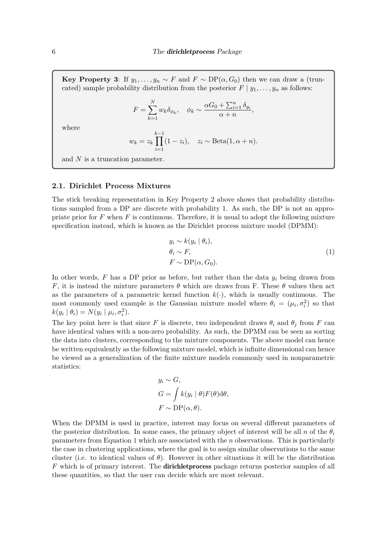**Key Property 3**: If  $y_1, \ldots, y_n \sim F$  and  $F \sim DP(\alpha, G_0)$  then we can draw a (truncated) sample probability distribution from the posterior  $F | y_1, \ldots, y_n$  as follows:

$$
F = \sum_{k=1}^{N} w_k \delta_{\phi_k}, \quad \phi_k \sim \frac{\alpha G_0 + \sum_{i=1}^{n} \delta_{y_i}}{\alpha + n},
$$

where

$$
w_k = z_k \prod_{i=1}^{k-1} (1 - z_i), \quad z_i \sim \text{Beta}(1, \alpha + n).
$$

and *N* is a truncation parameter.

### <span id="page-5-1"></span>**2.1. Dirichlet Process Mixtures**

The stick breaking representation in Key Property 2 above shows that probability distributions sampled from a DP are discrete with probability 1. As such, the DP is not an appropriate prior for *F* when *F* is continuous. Therefore, it is usual to adopt the following mixture specification instead, which is known as the Dirichlet process mixture model (DPMM):

<span id="page-5-0"></span>
$$
y_i \sim k(y_i | \theta_i),
$$
  
\n
$$
\theta_i \sim F,
$$
  
\n
$$
F \sim \text{DP}(\alpha, G_0).
$$
\n(1)

In other words,  $F$  has a DP prior as before, but rather than the data  $y_i$  being drawn from *F*, it is instead the mixture parameters  $\theta$  which are draws from F. These  $\theta$  values then act as the parameters of a parametric kernel function  $k(.)$ , which is usually continuous. The most commonly used example is the Gaussian mixture model where  $\theta_i = (\mu_i, \sigma_i^2)$  so that  $k(y_i | \theta_i) = N(y_i | \mu_i, \sigma_i^2).$ 

The key point here is that since *F* is discrete, two independent draws  $\theta_i$  and  $\theta_j$  from *F* can have identical values with a non-zero probability. As such, the DPMM can be seen as sorting the data into clusters, corresponding to the mixture components. The above model can hence be written equivalently as the following mixture model, which is infinite dimensional can hence be viewed as a generalization of the finite mixture models commonly used in nonparametric statistics:

$$
y_i \sim G,
$$
  
\n
$$
G = \int k(y_i | \theta) F(\theta) d\theta,
$$
  
\n
$$
F \sim DP(\alpha, \theta).
$$

When the DPMM is used in practice, interest may focus on several different parameters of the posterior distribution. In some cases, the primary object of interest will be all *n* of the  $\theta_i$ parameters from Equation [1](#page-5-0) which are associated with the *n* observations. This is particularly the case in clustering applications, where the goal is to assign similar observations to the same cluster (i.e. to identical values of  $\theta$ ). However in other situations it will be the distribution *F* which is of primary interest. The dirichletprocess package returns posterior samples of all these quantities, so that the user can decide which are most relevant.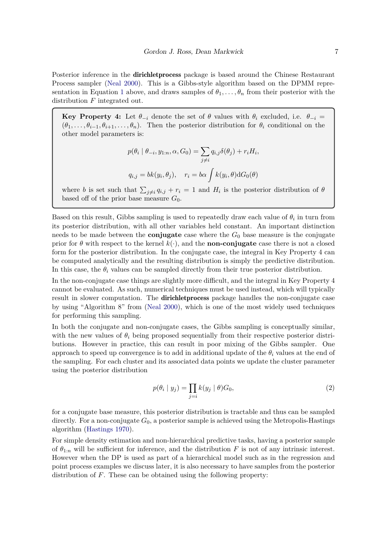Posterior inference in the **dirichlet process** package is based around the Chinese Restaurant Process sampler [\(Neal 2000\)](#page-40-4). This is a Gibbs-style algorithm based on the DPMM repre-sentation in Equation [1](#page-5-0) above, and draws samples of  $\theta_1, \ldots, \theta_n$  from their posterior with the distribution *F* integrated out.

**Key Property 4:** Let  $\theta_{-i}$  denote the set of  $\theta$  values with  $\theta_i$  excluded, i.e.  $\theta_{-i}$  =  $(\theta_1, \ldots, \theta_{i-1}, \theta_{i+1}, \ldots, \theta_n)$ . Then the posterior distribution for  $\theta_i$  conditional on the other model parameters is:

$$
p(\theta_i \mid \theta_{-i}, y_{1:n}, \alpha, G_0) = \sum_{j \neq i} q_{i,j} \delta(\theta_j) + r_i H_i,
$$
  

$$
q_{i,j} = bk(y_i, \theta_j), \quad r_i = b\alpha \int k(y_i, \theta) dG_0(\theta)
$$

where *b* is set such that  $\sum_{j\neq i} q_{i,j} + r_i = 1$  and  $H_i$  is the posterior distribution of  $\theta$ based off of the prior base measure  $G_0$ .

Based on this result, Gibbs sampling is used to repeatedly draw each value of  $\theta_i$  in turn from its posterior distribution, with all other variables held constant. An important distinction needs to be made between the **conjugate** case where the  $G_0$  base measure is the conjugate prior for  $\theta$  with respect to the kernel  $k(.)$ , and the **non-conjugate** case there is not a closed form for the posterior distribution. In the conjugate case, the integral in Key Property 4 can be computed analytically and the resulting distribution is simply the predictive distribution. In this case, the  $\theta_i$  values can be sampled directly from their true posterior distribution.

In the non-conjugate case things are slightly more difficult, and the integral in Key Property 4 cannot be evaluated. As such, numerical techniques must be used instead, which will typically result in slower computation. The dirichletprocess package handles the non-conjugate case by using "Algorithm 8" from [\(Neal 2000\)](#page-40-4), which is one of the most widely used techniques for performing this sampling.

In both the conjugate and non-conjugate cases, the Gibbs sampling is conceptually similar, with the new values of  $\theta_i$  being proposed sequentially from their respective posterior distributions. However in practice, this can result in poor mixing of the Gibbs sampler. One approach to speed up convergence is to add in additional update of the  $\theta_i$  values at the end of the sampling. For each cluster and its associated data points we update the cluster parameter using the posterior distribution

<span id="page-6-0"></span>
$$
p(\theta_i \mid y_j) = \prod_{j=i} k(y_j \mid \theta) G_0,
$$
\n(2)

for a conjugate base measure, this posterior distribution is tractable and thus can be sampled directly. For a non-conjugate  $G_0$ , a posterior sample is achieved using the Metropolis-Hastings algorithm [\(Hastings 1970\)](#page-39-1).

For simple density estimation and non-hierarchical predictive tasks, having a posterior sample of  $\theta_{1:n}$  will be sufficient for inference, and the distribution *F* is not of any intrinsic interest. However when the DP is used as part of a hierarchical model such as in the regression and point process examples we discuss later, it is also necessary to have samples from the posterior distribution of *F*. These can be obtained using the following property: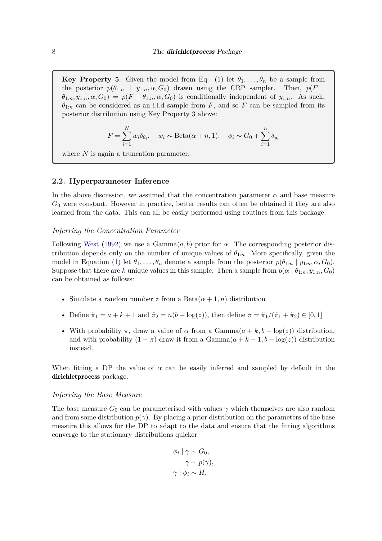**Key Property 5**: Given the model from Eq. [\(1\)](#page-5-0) let  $\theta_1, \ldots, \theta_n$  be a sample from the posterior  $p(\theta_{1:n} | y_{1:n}, \alpha, G_0)$  drawn using the CRP sampler. Then,  $p(F |$  $\theta_{1:n}, y_{1:n}, \alpha, G_0$  =  $p(F | \theta_{1:n}, \alpha, G_0)$  is conditionally independent of  $y_{1:n}$ . As such,  $\theta_{1:n}$  can be considered as an i.i.d sample from *F*, and so *F* can be sampled from its posterior distribution using Key Property 3 above:

$$
F = \sum_{i=1}^{N} w_i \delta_{\theta_i}, \quad w_i \sim \text{Beta}(\alpha + n, 1), \quad \phi_i \sim G_0 + \sum_{i=1}^{n} \delta_{y_i}
$$

where *N* is again a truncation parameter.

#### <span id="page-7-0"></span>**2.2. Hyperparameter Inference**

In the above discussion, we assumed that the concentration parameter  $\alpha$  and base measure *G*<sup>0</sup> were constant. However in practice, better results can often be obtained if they are also learned from the data. This can all be easily performed using routines from this package.

#### <span id="page-7-1"></span>*Inferring the Concentration Parameter*

Following [West](#page-40-5) [\(1992\)](#page-40-5) we use a  $Gamma(a, b)$  prior for  $\alpha$ . The corresponding posterior distribution depends only on the number of unique values of  $\theta_{1:n}$ . More specifically, given the model in Equation [\(1\)](#page-5-0) let  $\theta_1, \ldots, \theta_n$  denote a sample from the posterior  $p(\theta_{1:n} | y_{1:n}, \alpha, G_0)$ . Suppose that there are *k* unique values in this sample. Then a sample from  $p(\alpha | \theta_{1:n}, y_{1:n}, G_0)$ can be obtained as follows:

- Simulate a random number *z* from a Beta $(\alpha + 1, n)$  distribution
- Define  $\tilde{\pi}_1 = a + k + 1$  and  $\tilde{\pi}_2 = n(b \log(z))$ , then define  $\pi = \tilde{\pi}_1/(\tilde{\pi}_1 + \tilde{\pi}_2) \in [0, 1]$
- With probability  $\pi$ , draw a value of  $\alpha$  from a Gamma $(a + k, b \log(z))$  distribution, and with probability  $(1 - \pi)$  draw it from a Gamma $(a + k - 1, b - \log(z))$  distribution instead.

When fitting a DP the value of  $\alpha$  can be easily inferred and sampled by default in the dirichletprocess package.

#### *Inferring the Base Measure*

The base measure  $G_0$  can be parameterised with values  $\gamma$  which themselves are also random and from some distribution  $p(\gamma)$ . By placing a prior distribution on the parameters of the base measure this allows for the DP to adapt to the data and ensure that the fitting algorithms converge to the stationary distributions quicker

$$
\begin{aligned}\n\phi_i \mid \gamma &\sim G_0, \\
\gamma &\sim p(\gamma), \\
\gamma \mid \phi_i &\sim H,\n\end{aligned}
$$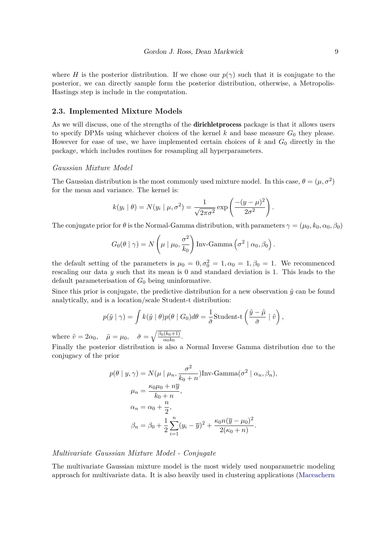where *H* is the posterior distribution. If we chose our  $p(\gamma)$  such that it is conjugate to the posterior, we can directly sample form the posterior distribution, otherwise, a Metropolis-Hastings step is include in the computation.

#### <span id="page-8-0"></span>**2.3. Implemented Mixture Models**

As we will discuss, one of the strengths of the **dirichlet process** package is that it allows users to specify DPMs using whichever choices of the kernel  $k$  and base measure  $G_0$  they please. However for ease of use, we have implemented certain choices of *k* and *G*<sup>0</sup> directly in the package, which includes routines for resampling all hyperparameters.

#### *Gaussian Mixture Model*

The Gaussian distribution is the most commonly used mixture model. In this case,  $\theta = (\mu, \sigma^2)$ for the mean and variance. The kernel is:

$$
k(y_i | \theta) = N(y_i | \mu, \sigma^2) = \frac{1}{\sqrt{2\pi\sigma^2}} \exp\left(\frac{-(y-\mu)^2}{2\sigma^2}\right).
$$

The conjugate prior for  $\theta$  is the Normal-Gamma distribution, with parameters  $\gamma = (\mu_0, k_0, \alpha_0, \beta_0)$ 

$$
G_0(\theta | \gamma) = N\left(\mu | \mu_0, \frac{\sigma^2}{k_0}\right) \text{Inv-Gamma}\left(\sigma^2 | \alpha_0, \beta_0\right).
$$

the default setting of the parameters is  $\mu_0 = 0, \sigma_0^2 = 1, \alpha_0 = 1, \beta_0 = 1$ . We recommenced rescaling our data *y* such that its mean is 0 and standard deviation is 1. This leads to the default parameterisation of *G*<sup>0</sup> being uninformative.

Since this prior is conjugate, the predictive distribution for a new observation  $\hat{y}$  can be found analytically, and is a location/scale Student-t distribution:

$$
p(\tilde{y} \mid \gamma) = \int k(\hat{y} \mid \theta)p(\theta \mid G_0)d\theta = \frac{1}{\tilde{\sigma}} \text{Student-t}\left(\frac{\tilde{y} - \tilde{\mu}}{\tilde{\sigma}} \mid \tilde{v}\right),\,
$$

where  $\tilde{v} = 2\alpha_0$ ,  $\tilde{\mu} = \mu_0$ ,  $\tilde{\sigma} = \sqrt{\frac{\beta_0(k_0+1)}{\alpha_0 k_0}}$  $\frac{(\kappa_0+1)}{\alpha_0k_0}$ .

Finally the posterior distribution is also a Normal Inverse Gamma distribution due to the conjugacy of the prior

$$
p(\theta | y, \gamma) = N(\mu | \mu_n, \frac{\sigma^2}{k_0 + n}) \text{Inv-Gamma}(\sigma^2 | \alpha_n, \beta_n),
$$
  
\n
$$
\mu_n = \frac{\kappa_0 \mu_0 + n \overline{y}}{k_0 + n},
$$
  
\n
$$
\alpha_n = \alpha_0 + \frac{n}{2},
$$
  
\n
$$
\beta_n = \beta_0 + \frac{1}{2} \sum_{i=1}^n (y_i - \overline{y})^2 + \frac{\kappa_0 n (\overline{y} - \mu_0)^2}{2(\kappa_0 + n)}.
$$

### *Multivariate Gaussian Mixture Model - Conjugate*

The multivariate Gaussian mixture model is the most widely used nonparametric modeling approach for multivariate data. It is also heavily used in clustering applications [\(Maceachern](#page-39-5)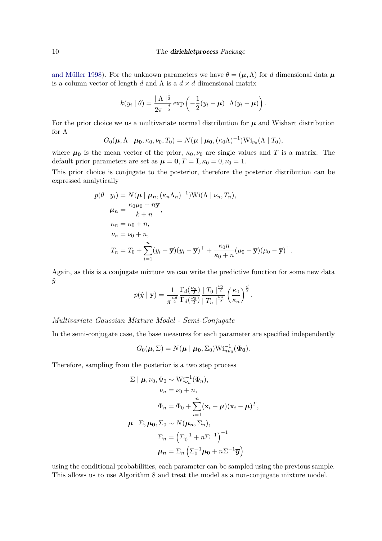[and Müller 1998\)](#page-39-5). For the unknown parameters we have  $\theta = (\mu, \Lambda)$  for *d* dimensional data  $\mu$ is a column vector of length *d* and  $\Lambda$  is a  $d \times d$  dimensional matrix

$$
k(y_i | \theta) = \frac{|\Lambda|^{\frac{1}{2}}}{2\pi^{-\frac{d}{2}}} \exp\left(-\frac{1}{2}(y_i - \boldsymbol{\mu})^\top \Lambda (y_i - \boldsymbol{\mu})\right).
$$

For the prior choice we us a multivariate normal distribution for  $\mu$  and Wishart distribution for Λ

$$
G_0(\boldsymbol{\mu}, \Lambda \mid \boldsymbol{\mu_0}, \kappa_0, \nu_0, T_0) = N(\boldsymbol{\mu} \mid \boldsymbol{\mu_0}, (\kappa_0 \Lambda)^{-1}) \mathrm{Wi}_{\nu_0}(\Lambda \mid T_0),
$$

where  $\mu_0$  is the mean vector of the prior,  $\kappa_0, \nu_0$  are single values and T is a matrix. The default prior parameters are set as  $\mu = 0, T = I, \kappa_0 = 0, \nu_0 = 1$ .

This prior choice is conjugate to the posterior, therefore the posterior distribution can be expressed analytically

$$
p(\theta | y_i) = N(\boldsymbol{\mu} | \boldsymbol{\mu}_n, (\kappa_n \Lambda_n)^{-1}) \text{Wi}(\Lambda | \nu_n, T_n),
$$
  
\n
$$
\boldsymbol{\mu}_n = \frac{\kappa_0 \mu_0 + n \overline{\mathbf{y}}}{k+n},
$$
  
\n
$$
\kappa_n = \kappa_0 + n,
$$
  
\n
$$
\nu_n = \nu_0 + n,
$$
  
\n
$$
T_n = T_0 + \sum_{i=1}^n (y_i - \overline{\mathbf{y}})(y_i - \overline{\mathbf{y}})^{\top} + \frac{\kappa_0 n}{\kappa_0 + n} (\mu_0 - \overline{\mathbf{y}})(\mu_0 - \overline{\mathbf{y}})^{\top}.
$$

Again, as this is a conjugate mixture we can write the predictive function for some new data  $\hat{y}$ *ν*0

$$
p(\hat{y} \mid \mathbf{y}) = \frac{1}{\pi^{\frac{nd}{2}}} \frac{\Gamma_d(\frac{\nu_n}{2})}{\Gamma_d(\frac{\nu_0}{2})} \frac{\mid T_0 \mid^{\frac{\nu_0}{2}}}{\mid T_n \mid^{\frac{\nu_n}{2}}} \left(\frac{\kappa_0}{\kappa_n}\right)^{\frac{d}{2}}.
$$

### *Multivariate Gaussian Mixture Model - Semi-Conjugate*

In the semi-conjugate case, the base measures for each parameter are specified independently

$$
G_0(\boldsymbol{\mu}, \boldsymbol{\Sigma}) = N(\boldsymbol{\mu} \mid \boldsymbol{\mu_0}, \boldsymbol{\Sigma_0}) \mathbf{Wi}_{nu_0}^{-1}(\boldsymbol{\Phi_0}).
$$

Therefore, sampling from the posterior is a two step process

$$
\Sigma | \boldsymbol{\mu}, \nu_0, \Phi_0 \sim \text{Wi}_{\nu_n}^{-1}(\Phi_n),
$$
  
\n
$$
\nu_n = \nu_0 + n,
$$
  
\n
$$
\Phi_n = \Phi_0 + \sum_{i=1}^n (\mathbf{x}_i - \boldsymbol{\mu})(\mathbf{x}_i - \boldsymbol{\mu})^T,
$$
  
\n
$$
\boldsymbol{\mu} | \Sigma, \boldsymbol{\mu_0}, \Sigma_0 \sim N(\boldsymbol{\mu_n}, \Sigma_n),
$$
  
\n
$$
\Sigma_n = \left(\Sigma_0^{-1} + n\Sigma^{-1}\right)^{-1}
$$
  
\n
$$
\boldsymbol{\mu_n} = \Sigma_n \left(\Sigma_0^{-1} \boldsymbol{\mu_0} + n\Sigma^{-1} \overline{\mathbf{y}}\right)
$$

using the conditional probabilities, each parameter can be sampled using the previous sample. This allows us to use Algorithm 8 and treat the model as a non-conjugate mixture model.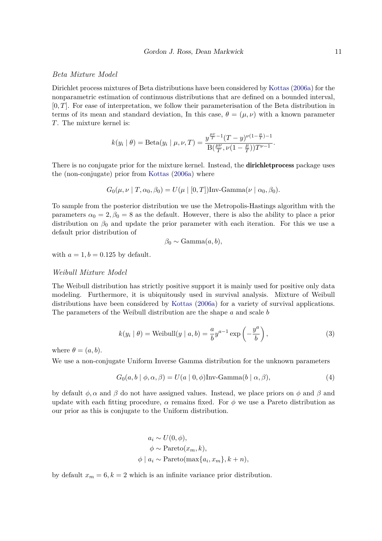### *Beta Mixture Model*

Dirichlet process mixtures of Beta distributions have been considered by [Kottas](#page-39-6) [\(2006a\)](#page-39-6) for the nonparametric estimation of continuous distributions that are defined on a bounded interval, [0*, T*]. For ease of interpretation, we follow their parameterisation of the Beta distribution in terms of its mean and standard deviation, In this case,  $\theta = (\mu, \nu)$  with a known parameter *T*. The mixture kernel is:

$$
k(y_i \mid \theta) = \text{Beta}(y_i \mid \mu, \nu, T) = \frac{y^{\frac{\mu \nu}{T} - 1} (T - y)^{\nu(1 - \frac{\mu}{T}) - 1}}{\text{B}(\frac{\mu \nu}{T}, \nu(1 - \frac{\mu}{T})) T^{\nu - 1}}.
$$

There is no conjugate prior for the mixture kernel. Instead, the **dirichlet process** package uses the (non-conjugate) prior from [Kottas](#page-39-6) [\(2006a\)](#page-39-6) where

$$
G_0(\mu, \nu \mid T, \alpha_0, \beta_0) = U(\mu \mid [0, T])
$$
Inv-Gamma( $\nu \mid \alpha_0, \beta_0$ ).

To sample from the posterior distribution we use the Metropolis-Hastings algorithm with the parameters  $\alpha_0 = 2, \beta_0 = 8$  as the default. However, there is also the ability to place a prior distribution on *β*<sup>0</sup> and update the prior parameter with each iteration. For this we use a default prior distribution of

$$
\beta_0 \sim \text{Gamma}(a, b),
$$

with  $a = 1, b = 0.125$  by default.

#### *Weibull Mixture Model*

The Weibull distribution has strictly positive support it is mainly used for positive only data modeling. Furthermore, it is ubiquitously used in survival analysis. Mixture of Weibull distributions have been considered by [Kottas](#page-39-6) [\(2006a\)](#page-39-6) for a variety of survival applications. The parameters of the Weibull distribution are the shape *a* and scale *b*

$$
k(y_i | \theta) = \text{Weibull}(y | a, b) = \frac{a}{b} y^{a-1} \exp\left(-\frac{y^a}{b}\right),\tag{3}
$$

where  $\theta = (a, b)$ .

We use a non-conjugate Uniform Inverse Gamma distribution for the unknown parameters

$$
G_0(a, b \mid \phi, \alpha, \beta) = U(a \mid 0, \phi) \text{Inv-Gamma}(b \mid \alpha, \beta), \tag{4}
$$

by default  $\phi$ ,  $\alpha$  and  $\beta$  do not have assigned values. Instead, we place priors on  $\phi$  and  $\beta$  and update with each fitting procedure,  $\alpha$  remains fixed. For  $\phi$  we use a Pareto distribution as our prior as this is conjugate to the Uniform distribution.

$$
a_i \sim U(0, \phi),
$$
  
\n
$$
\phi \sim \text{Pareto}(x_m, k),
$$
  
\n
$$
\phi \mid a_i \sim \text{Pareto}(\max\{a_i, x_m\}, k + n),
$$

by default  $x_m = 6, k = 2$  which is an infinite variance prior distribution.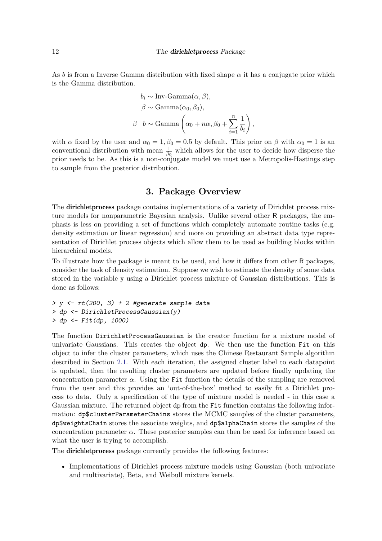#### 12 The **dirichlet process** Package

As *b* is from a Inverse Gamma distribution with fixed shape  $\alpha$  it has a conjugate prior which is the Gamma distribution.

$$
b_i \sim \text{Inv-Gamma}(\alpha, \beta),
$$
  

$$
\beta \sim \text{Gamma}(\alpha_0, \beta_0),
$$
  

$$
\beta \mid b \sim \text{Gamma}\left(\alpha_0 + n\alpha, \beta_0 + \sum_{i=1}^n \frac{1}{b_i}\right),
$$

with *α* fixed by the user and  $\alpha_0 = 1, \beta_0 = 0.5$  by default. This prior on  $\beta$  with  $\alpha_0 = 1$  is an conventional distribution with mean  $\frac{1}{\beta_0}$  which allows for the user to decide how disperse the prior needs to be. As this is a non-conjugate model we must use a Metropolis-Hastings step to sample from the posterior distribution.

### **3. Package Overview**

<span id="page-11-0"></span>The **dirichlet process** package contains implementations of a variety of Dirichlet process mixture models for nonparametric Bayesian analysis. Unlike several other R packages, the emphasis is less on providing a set of functions which completely automate routine tasks (e.g. density estimation or linear regression) and more on providing an abstract data type representation of Dirichlet process objects which allow them to be used as building blocks within hierarchical models.

To illustrate how the package is meant to be used, and how it differs from other R packages, consider the task of density estimation. Suppose we wish to estimate the density of some data stored in the variable y using a Dirichlet process mixture of Gaussian distributions. This is done as follows:

```
> y <- rt(200, 3) + 2 #generate sample data
> dp <- DirichletProcessGaussian(y)
> dp <- Fit(dp, 1000)
```
The function DirichletProcessGaussian is the creator function for a mixture model of univariate Gaussians. This creates the object dp. We then use the function Fit on this object to infer the cluster parameters, which uses the Chinese Restaurant Sample algorithm described in Section [2.1.](#page-5-1) With each iteration, the assigned cluster label to each datapoint is updated, then the resulting cluster parameters are updated before finally updating the concentration parameter  $\alpha$ . Using the Fit function the details of the sampling are removed from the user and this provides an 'out-of-the-box' method to easily fit a Dirichlet process to data. Only a specification of the type of mixture model is needed - in this case a Gaussian mixture. The returned object dp from the Fit function contains the following information: dp\$clusterParameterChains stores the MCMC samples of the cluster parameters, dp\$weightsChain stores the associate weights, and dp\$alphaChain stores the samples of the concentration parameter  $\alpha$ . These posterior samples can then be used for inference based on what the user is trying to accomplish.

The dirichletprocess package currently provides the following features:

• Implementations of Dirichlet process mixture models using Gaussian (both univariate and multivariate), Beta, and Weibull mixture kernels.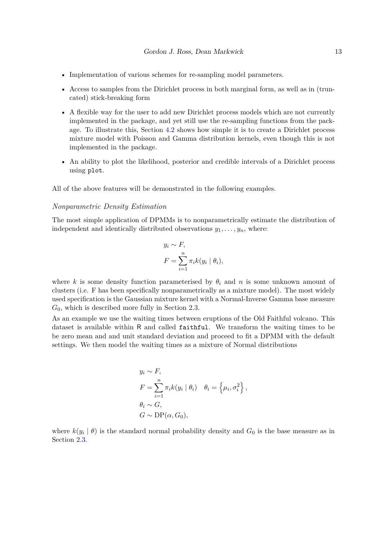- Implementation of various schemes for re-sampling model parameters.
- Access to samples from the Dirichlet process in both marginal form, as well as in (truncated) stick-breaking form
- A flexible way for the user to add new Dirichlet process models which are not currently implemented in the package, and yet still use the re-sampling functions from the package. To illustrate this, Section [4.2](#page-27-0) shows how simple it is to create a Dirichlet process mixture model with Poisson and Gamma distribution kernels, even though this is not implemented in the package.
- An ability to plot the likelihood, posterior and credible intervals of a Dirichlet process using plot.

All of the above features will be demonstrated in the following examples.

#### *Nonparametric Density Estimation*

The most simple application of DPMMs is to nonparametrically estimate the distribution of independent and identically distributed observations  $y_1, \ldots, y_n$ , where:

$$
y_i \sim F,
$$
  
\n
$$
F = \sum_{i=1}^n \pi_i k(y_i \mid \theta_i),
$$

where *k* is some density function parameterised by  $\theta_i$  and *n* is some unknown amount of clusters (i.e. F has been specifically nonparametrically as a mixture model). The most widely used specification is the Gaussian mixture kernel with a Normal-Inverse Gamma base measure *G*0, which is described more fully in Section [2.3.](#page-8-0)

As an example we use the waiting times between eruptions of the Old Faithful volcano. This dataset is available within R and called faithful. We transform the waiting times to be be zero mean and and unit standard deviation and proceed to fit a DPMM with the default settings. We then model the waiting times as a mixture of Normal distributions

$$
y_i \sim F,
$$
  
\n
$$
F = \sum_{i=1}^n \pi_i k (y_i \mid \theta_i) \quad \theta_i = \left\{ \mu_i, \sigma_i^2 \right\},
$$
  
\n
$$
\theta_i \sim G,
$$
  
\n
$$
G \sim \text{DP}(\alpha, G_0),
$$

where  $k(y_i | \theta)$  is the standard normal probability density and  $G_0$  is the base measure as in Section [2.3.](#page-8-0)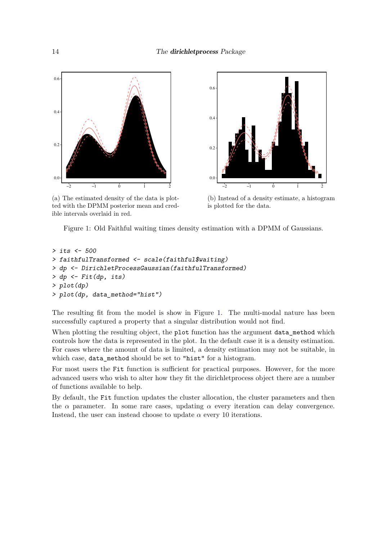<span id="page-13-0"></span>

(a) The estimated density of the data is plotted with the DPMM posterior mean and credible intervals overlaid in red.



(b) Instead of a density estimate, a histogram is plotted for the data.

Figure 1: Old Faithful waiting times density estimation with a DPMM of Gaussians.

```
> its <- 500
> faithfulTransformed <- scale(faithful$waiting)
> dp <- DirichletProcessGaussian(faithfulTransformed)
> dp <- Fit(dp, its)
> plot(dp)
> plot(dp, data_method="hist")
```
The resulting fit from the model is show in Figure [1.](#page-13-0) The multi-modal nature has been successfully captured a property that a singular distribution would not find.

When plotting the resulting object, the plot function has the argument data\_method which controls how the data is represented in the plot. In the default case it is a density estimation. For cases where the amount of data is limited, a density estimation may not be suitable, in which case, data\_method should be set to "hist" for a histogram.

For most users the Fit function is sufficient for practical purposes. However, for the more advanced users who wish to alter how they fit the dirichletprocess object there are a number of functions available to help.

By default, the Fit function updates the cluster allocation, the cluster parameters and then the  $\alpha$  parameter. In some rare cases, updating  $\alpha$  every iteration can delay convergence. Instead, the user can instead choose to update  $\alpha$  every 10 iterations.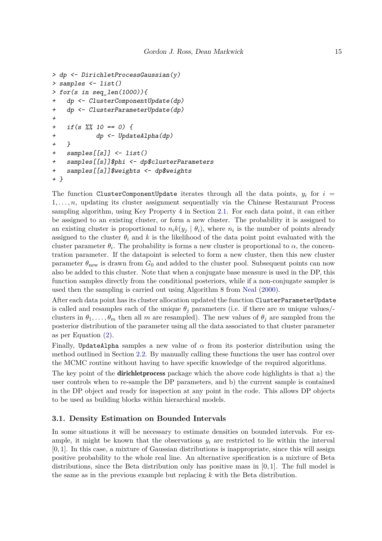```
> dp <- DirichletProcessGaussian(y)
> samples <- list()
> for(s in seq_len(1000)){
+ dp <- ClusterComponentUpdate(dp)
+ dp <- ClusterParameterUpdate(dp)
+
+ if(s %% 10 == 0) {
+ dp <- UpdateAlpha(dp)
+ }
+ samples[[s]] <- list()
+ samples[[s]]$phi <- dp$clusterParameters
+ samples[[s]]$weights <- dp$weights
+ }
```
The function ClusterComponentUpdate iterates through all the data points,  $y_i$  for  $i =$ 1*, . . . , n*, updating its cluster assignment sequentially via the Chinese Restaurant Process sampling algorithm, using Key Property 4 in Section [2.1.](#page-5-1) For each data point, it can either be assigned to an existing cluster, or form a new cluster. The probability it is assigned to an existing cluster is proportional to  $n_i k(y_j | \theta_i)$ , where  $n_i$  is the number of points already assigned to the cluster  $\theta_i$  and k is the likelihood of the data point point evaluated with the cluster parameter  $\theta_i$ . The probability is forms a new cluster is proportional to  $\alpha$ , the concentration parameter. If the datapoint is selected to form a new cluster, then this new cluster parameter  $\theta_{\text{new}}$  is drawn from  $G_0$  and added to the cluster pool. Subsequent points can now also be added to this cluster. Note that when a conjugate base measure is used in the DP, this function samples directly from the conditional posteriors, while if a non-conjugate sampler is used then the sampling is carried out using Algorithm 8 from [Neal](#page-40-4) [\(2000\)](#page-40-4).

After each data point has its cluster allocation updated the function ClusterParameterUpdate is called and resamples each of the unique  $\theta_j$  parameters (i.e. if there are *m* unique values/clusters in  $\theta_1, \ldots, \theta_m$  then all *m* are resampled). The new values of  $\theta_j$  are sampled from the posterior distribution of the parameter using all the data associated to that cluster parameter as per Equation [\(2\)](#page-6-0).

Finally, UpdateAlpha samples a new value of *α* from its posterior distribution using the method outlined in Section [2.2.](#page-7-0) By manually calling these functions the user has control over the MCMC routine without having to have specific knowledge of the required algorithms.

The key point of the dirichletprocess package which the above code highlights is that a) the user controls when to re-sample the DP parameters, and b) the current sample is contained in the DP object and ready for inspection at any point in the code. This allows DP objects to be used as building blocks within hierarchical models.

### **3.1. Density Estimation on Bounded Intervals**

In some situations it will be necessary to estimate densities on bounded intervals. For example, it might be known that the observations  $y_i$  are restricted to lie within the interval [0*,* 1]. In this case, a mixture of Gaussian distributions is inappropriate, since this will assign positive probability to the whole real line. An alternative specification is a mixture of Beta distributions, since the Beta distribution only has positive mass in [0*,* 1]. The full model is the same as in the previous example but replacing *k* with the Beta distribution.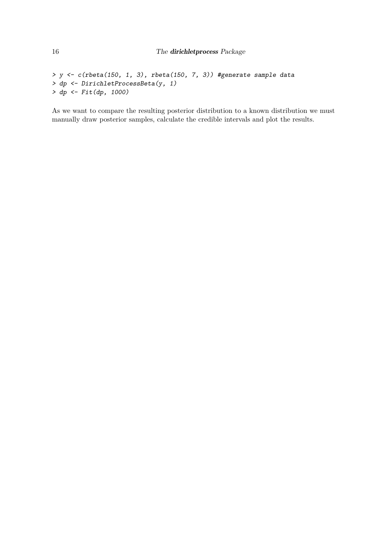```
> y <- c(rbeta(150, 1, 3), rbeta(150, 7, 3)) #generate sample data
> dp <- DirichletProcessBeta(y, 1)
> dp <- Fit(dp, 1000)
```
As we want to compare the resulting posterior distribution to a known distribution we must manually draw posterior samples, calculate the credible intervals and plot the results.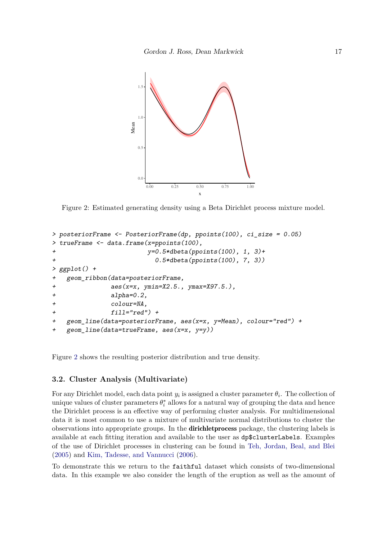<span id="page-16-0"></span>

Figure 2: Estimated generating density using a Beta Dirichlet process mixture model.

```
> posteriorFrame <- PosteriorFrame(dp, ppoints(100), ci_size = 0.05)
> trueFrame <- data.frame(x=ppoints(100),
+ y=0.5*dbeta(ppoints(100), 1, 3)+
+ 0.5*dbeta(ppoints(100), 7, 3))
> ggplot() +
   + geom_ribbon(data=posteriorFrame,
+ aes(x=x, ymin=X2.5., ymax=X97.5.),
+ alpha=0.2,
+ colour=NA,
+ fill="red") +
+ geom_line(data=posteriorFrame, aes(x=x, y=Mean), colour="red") +
+ geom_line(data=trueFrame, aes(x=x, y=y))
```
Figure [2](#page-16-0) shows the resulting posterior distribution and true density.

### <span id="page-16-1"></span>**3.2. Cluster Analysis (Multivariate)**

For any Dirichlet model, each data point  $y_i$  is assigned a cluster parameter  $\theta_i$ . The collection of unique values of cluster parameters  $\theta_i^*$  allows for a natural way of grouping the data and hence the Dirichlet process is an effective way of performing cluster analysis. For multidimensional data it is most common to use a mixture of multivariate normal distributions to cluster the observations into appropriate groups. In the dirichletprocess package, the clustering labels is available at each fitting iteration and available to the user as dp\$clusterLabels. Examples of the use of Dirichlet processes in clustering can be found in [Teh, Jordan, Beal, and Blei](#page-40-6) [\(2005\)](#page-40-6) and [Kim, Tadesse, and Vannucci](#page-39-7) [\(2006\)](#page-39-7).

To demonstrate this we return to the faithful dataset which consists of two-dimensional data. In this example we also consider the length of the eruption as well as the amount of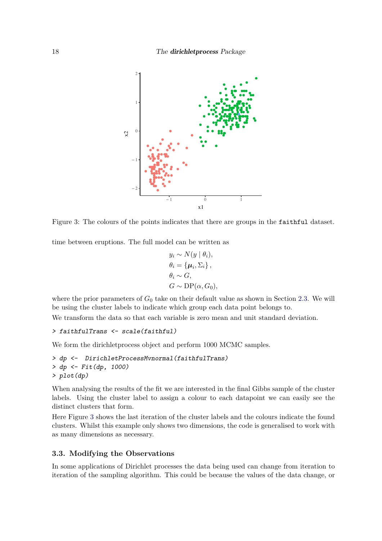<span id="page-17-0"></span>

Figure 3: The colours of the points indicates that there are groups in the faithful dataset.

time between eruptions. The full model can be written as

$$
y_i \sim N(y | \theta_i),
$$
  
\n
$$
\theta_i = {\mu_i, \Sigma_i},
$$
  
\n
$$
\theta_i \sim G,
$$
  
\n
$$
G \sim \text{DP}(\alpha, G_0),
$$

where the prior parameters of  $G_0$  take on their default value as shown in Section [2.3.](#page-8-0) We will be using the cluster labels to indicate which group each data point belongs to.

We transform the data so that each variable is zero mean and unit standard deviation.

```
> faithfulTrans <- scale(faithful)
```
We form the dirichletprocess object and perform 1000 MCMC samples.

```
> dp <- DirichletProcessMvnormal(faithfulTrans)
> dp <- Fit(dp, 1000)
> plot(dp)
```
When analysing the results of the fit we are interested in the final Gibbs sample of the cluster labels. Using the cluster label to assign a colour to each datapoint we can easily see the distinct clusters that form.

Here Figure [3](#page-17-0) shows the last iteration of the cluster labels and the colours indicate the found clusters. Whilst this example only shows two dimensions, the code is generalised to work with as many dimensions as necessary.

### **3.3. Modifying the Observations**

In some applications of Dirichlet processes the data being used can change from iteration to iteration of the sampling algorithm. This could be because the values of the data change, or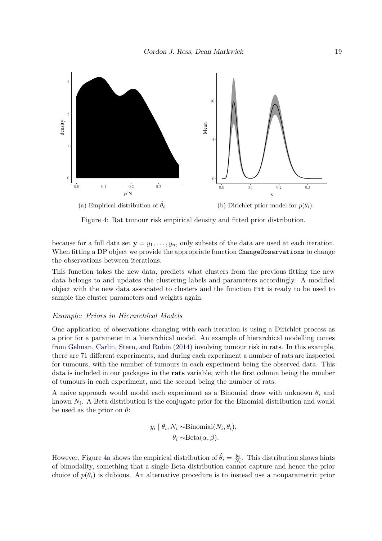<span id="page-18-0"></span>

Figure 4: Rat tumour risk empirical density and fitted prior distribution.

because for a full data set  $y = y_1, \ldots, y_n$ , only subsets of the data are used at each iteration. When fitting a DP object we provide the appropriate function ChangeObservations to change the observations between iterations.

This function takes the new data, predicts what clusters from the previous fitting the new data belongs to and updates the clustering labels and parameters accordingly. A modified object with the new data associated to clusters and the function Fit is ready to be used to sample the cluster parameters and weights again.

#### *Example: Priors in Hierarchical Models*

One application of observations changing with each iteration is using a Dirichlet process as a prior for a parameter in a hierarchical model. An example of hierarchical modelling comes from [Gelman, Carlin, Stern, and Rubin](#page-39-8) [\(2014\)](#page-39-8) involving tumour risk in rats. In this example, there are 71 different experiments, and during each experiment a number of rats are inspected for tumours, with the number of tumours in each experiment being the observed data. This data is included in our packages in the **rats** variable, with the first column being the number of tumours in each experiment, and the second being the number of rats.

A naive approach would model each experiment as a Binomial draw with unknown *θ<sup>i</sup>* and known *N<sup>i</sup>* . A Beta distribution is the conjugate prior for the Binomial distribution and would be used as the prior on *θ*:

$$
y_i | \theta_i, N_i \sim \text{Binomial}(N_i, \theta_i),
$$

$$
\theta_i \sim \text{Beta}(\alpha, \beta).
$$

However, Figure [4a](#page-18-0) shows the empirical distribution of  $\hat{\theta}_i = \frac{y_i}{N}$  $\frac{y_i}{N_i}$ . This distribution shows hints of bimodality, something that a single Beta distribution cannot capture and hence the prior choice of  $p(\theta_i)$  is dubious. An alternative procedure is to instead use a nonparametric prior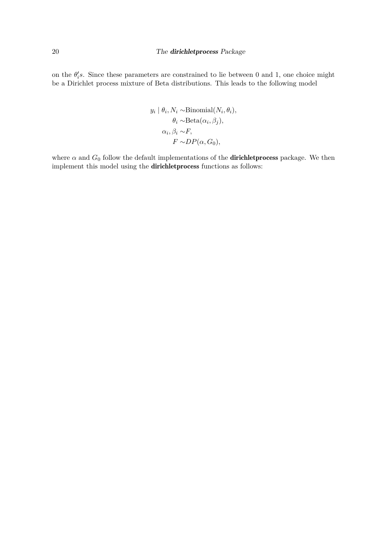on the  $\theta_i$ 's. Since these parameters are constrained to lie between 0 and 1, one choice might be a Dirichlet process mixture of Beta distributions. This leads to the following model

$$
y_i | \theta_i, N_i \sim \text{Binomial}(N_i, \theta_i),
$$

$$
\theta_i \sim \text{Beta}(\alpha_i, \beta_j),
$$

$$
\alpha_i, \beta_i \sim F,
$$

$$
F \sim DP(\alpha, G_0),
$$

where  $\alpha$  and  $G_0$  follow the default implementations of the **dirichlet process** package. We then implement this model using the dirichletprocess functions as follows: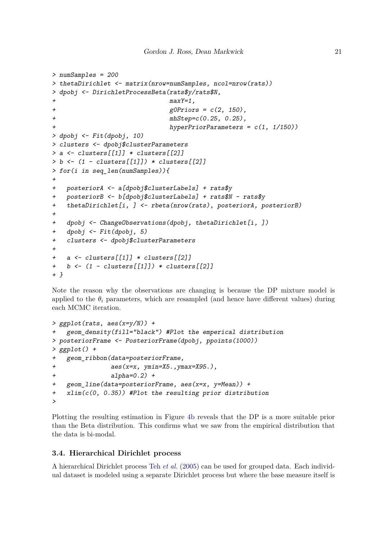```
> numSamples = 200
> thetaDirichlet <- matrix(nrow=numSamples, ncol=nrow(rats))
> dpobj <- DirichletProcessBeta(rats$y/rats$N,
                             + maxY=1,
+ g0Priors = c(2, 150),
+ mhStep=c(0.25, 0.25),
+ hyperPriorParameters = c(1, 1/150))
> dpobj <- Fit(dpobj, 10)
> clusters <- dpobj$clusterParameters
> a <- clusters[[1]] * clusters[[2]]
> b <- (1 - clusters[[1]]) * clusters[[2]]
> for(i in seq_len(numSamples)){
+
+ posteriorA <- a[dpobj$clusterLabels] + rats$y
+ posteriorB <- b[dpobj$clusterLabels] + rats$N - rats$y
   + thetaDirichlet[i, ] <- rbeta(nrow(rats), posteriorA, posteriorB)
+
+ dpobj <- ChangeObservations(dpobj, thetaDirichlet[i, ])
+ dpobj <- Fit(dpobj, 5)
   + clusters <- dpobj$clusterParameters
+
+ a <- clusters[[1]] * clusters[[2]]
   + b <- (1 - clusters[[1]]) * clusters[[2]]
+ }
```
Note the reason why the observations are changing is because the DP mixture model is applied to the  $\theta_i$  parameters, which are resampled (and hence have different values) during each MCMC iteration.

```
> ggplot(rats, aes(x=y/N)) +
   + geom_density(fill="black") #Plot the emperical distribution
> posteriorFrame <- PosteriorFrame(dpobj, ppoints(1000))
> ggplot() +
+ geom_ribbon(data=posteriorFrame,
+ aes(x=x, ymin=X5.,ymax=X95.),
+ alpha=0.2) +
+ geom_line(data=posteriorFrame, aes(x=x, y=Mean)) +
   + xlim(c(0, 0.35)) #Plot the resulting prior distribution
>
```
Plotting the resulting estimation in Figure [4b](#page-18-0) reveals that the DP is a more suitable prior than the Beta distribution. This confirms what we saw from the empirical distribution that the data is bi-modal.

### **3.4. Hierarchical Dirichlet process**

A hierarchical Dirichlet process Teh *[et al.](#page-40-6)* [\(2005\)](#page-40-6) can be used for grouped data. Each individual dataset is modeled using a separate Dirichlet process but where the base measure itself is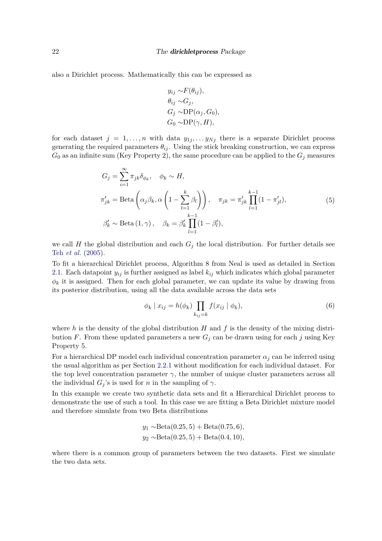also a Dirichlet process. Mathematically this can be expressed as

<span id="page-21-1"></span>
$$
y_{ij} \sim F(\theta_{ij}),
$$
  
\n
$$
\theta_{ij} \sim G_j,
$$
  
\n
$$
G_j \sim DP(\alpha_j, G_0),
$$
  
\n
$$
G_0 \sim DP(\gamma, H),
$$

for each dataset  $j = 1, \ldots, n$  with data  $y_{1j}, \ldots, y_{Nj}$  there is a separate Dirichlet process generating the required parameters  $\theta_{ij}$ . Using the stick breaking construction, we can express  $G_0$  as an infinite sum (Key Property 2), the same procedure can be applied to the  $G_j$  measures

$$
G_j = \sum_{i=1}^{\infty} \pi_{jk} \delta_{\phi_k}, \quad \phi_k \sim H,
$$
  
\n
$$
\pi'_{jk} = \text{Beta}\left(\alpha_j \beta_k, \alpha \left(1 - \sum_{l=1}^k \beta_l\right)\right), \quad \pi_{jk} = \pi'_{jk} \prod_{l=1}^{k-1} (1 - \pi'_{jl}),
$$
  
\n
$$
\beta'_k \sim \text{Beta}(1, \gamma), \quad \beta_k = \beta'_k \prod_{l=1}^{k-1} (1 - \beta'_l),
$$
\n(5)

we call *H* the global distribution and each  $G<sub>j</sub>$  the local distribution. For further details see Teh *[et al.](#page-40-6)* [\(2005\)](#page-40-6).

To fit a hierarchical Dirichlet process, Algorithm 8 from Neal is used as detailed in Section [2.1.](#page-5-1) Each datapoint  $y_{ij}$  is further assigned as label  $k_{ij}$  which indicates which global parameter  $\phi_k$  it is assigned. Then for each global parameter, we can update its value by drawing from its posterior distribution, using all the data available across the data sets

<span id="page-21-0"></span>
$$
\phi_k \mid x_{ij} = h(\phi_k) \prod_{k_{ij}=k} f(x_{ij} \mid \phi_k), \tag{6}
$$

where  $h$  is the density of the global distribution  $H$  and  $f$  is the density of the mixing distribution *F*. From these updated parameters a new  $G<sub>j</sub>$  can be drawn using for each *j* using Key Property 5.

For a hierarchical DP model each individual concentration parameter  $\alpha_j$  can be inferred using the usual algorithm as per Section [2.2.1](#page-7-1) without modification for each individual dataset. For the top level concentration parameter  $\gamma$ , the number of unique cluster parameters across all the individual  $G_i$ 's is used for *n* in the sampling of  $\gamma$ .

In this example we create two synthetic data sets and fit a Hierarchical Dirichlet process to demonstrate the use of such a tool. In this case we are fitting a Beta Dirichlet mixture model and therefore simulate from two Beta distributions

$$
y_1 \sim \text{Beta}(0.25, 5) + \text{Beta}(0.75, 6),
$$
  
 $y_2 \sim \text{Beta}(0.25, 5) + \text{Beta}(0.4, 10),$ 

where there is a common group of parameters between the two datasets. First we simulate the two data sets.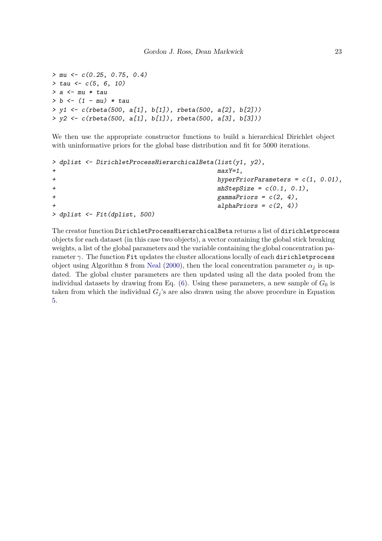```
> mu <- c(0.25, 0.75, 0.4)
> tau <- c(5, 6, 10)
> a <- mu * tau
> b <- (1 - mu) * tau
> y1 <- c(rbeta(500, a[1], b[1]), rbeta(500, a[2], b[2]))
> y2 <- c(rbeta(500, a[1], b[1]), rbeta(500, a[3], b[3]))
```
We then use the appropriate constructor functions to build a hierarchical Dirichlet object with uninformative priors for the global base distribution and fit for 5000 iterations.

```
> dplist <- DirichletProcessHierarchicalBeta(list(y1, y2),
+ maxY=1,
+ hyperPriorParameters = c(1, 0.01),
+ mhStepSize = c(0.1, 0.1),
+ gammaPriors = c(2, 4),
                         + alphaPriors = c(2, 4))
> dplist <- Fit(dplist, 500)
```
The creator function DirichletProcessHierarchicalBeta returns a list of dirichletprocess objects for each dataset (in this case two objects), a vector containing the global stick breaking weights, a list of the global parameters and the variable containing the global concentration parameter *γ*. The function Fit updates the cluster allocations locally of each dirichletprocess object using Algorithm 8 from [Neal](#page-40-4) [\(2000\)](#page-40-4), then the local concentration parameter  $\alpha_i$  is updated. The global cluster parameters are then updated using all the data pooled from the individual datasets by drawing from Eq.  $(6)$ . Using these parameters, a new sample of  $G_0$  is taken from which the individual  $G_j$ 's are also drawn using the above procedure in Equation [5.](#page-21-1)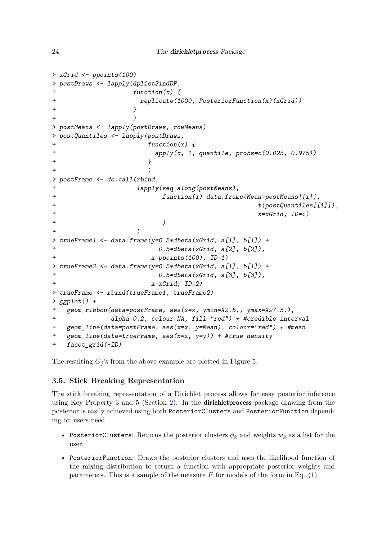```
> xGrid <- ppoints(100)
> postDraws <- lapply(dplist$indDP,
                + function(x) {
                  + replicate(1000, PosteriorFunction(x)(xGrid))
+ }
+ )
> postMeans <- lapply(postDraws, rowMeans)
> postQuantiles <- lapply(postDraws,
                   + function(x) {
+ apply(x, 1, quantile, probs=c(0.025, 0.975))
+ }
+ )
> postFrame <- do.call(rbind,
+ lapply(seq_along(postMeans),
+ function(i) data.frame(Mean=postMeans[[i]],
                                           + t(postQuantiles[[i]]),
+ x=xGrid, ID=i)
+ )
+ )
> trueFrame1 <- data.frame(y=0.5*dbeta(xGrid, a[1], b[1]) +
                      + 0.5*dbeta(xGrid, a[2], b[2]),
+ x=ppoints(100), ID=1)
> trueFrame2 <- data.frame(y=0.5*dbeta(xGrid, a[1], b[1]) +
+ 0.5*dbeta(xGrid, a[3], b[3]),
                    + x=xGrid, ID=2)
> trueFrame <- rbind(trueFrame1, trueFrame2)
> ggplot() +
  + geom_ribbon(data=postFrame, aes(x=x, ymin=X2.5., ymax=X97.5.),
+ alpha=0.2, colour=NA, fill="red") + #credible interval
+ geom_line(data=postFrame, aes(x=x, y=Mean), colour="red") + #mean
+ geom_line(data=trueFrame, aes(x=x, y=y)) + #true density
  + facet_grid(~ID)
```
The resulting  $G_j$ 's from the above example are plotted in Figure [5.](#page-24-0)

### **3.5. Stick Breaking Representation**

The stick breaking representation of a Dirichlet process allows for easy posterior inference using Key Property 3 and 5 (Section [2\)](#page-3-0). In the dirichletprocess package drawing from the posterior is easily achieved using both PosteriorClusters and PosteriorFunction depending on users need.

- PosteriorClusters: Returns the posterior clusters  $\phi_k$  and weights  $w_k$  as a list for the user.
- PosteriorFunction: Draws the posterior clusters and uses the likelihood function of the mixing distribution to return a function with appropriate posterior weights and parameters. This is a sample of the measure  $F$  for models of the form in Eq. [\(1\)](#page-5-0).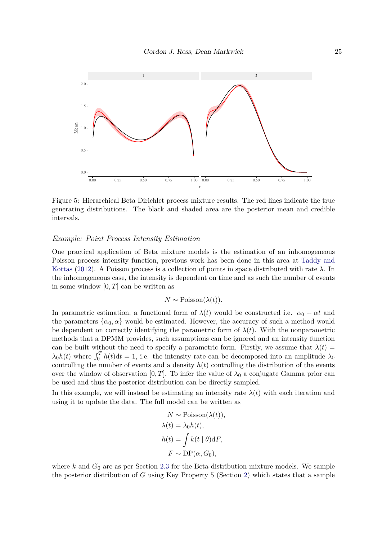<span id="page-24-0"></span>

Figure 5: Hierarchical Beta Dirichlet process mixture results. The red lines indicate the true generating distributions. The black and shaded area are the posterior mean and credible intervals.

### *Example: Point Process Intensity Estimation*

One practical application of Beta mixture models is the estimation of an inhomogeneous Poisson process intensity function, previous work has been done in this area at [Taddy and](#page-40-7) [Kottas](#page-40-7) [\(2012\)](#page-40-7). A Poisson process is a collection of points in space distributed with rate *λ*. In the inhomogeneous case, the intensity is dependent on time and as such the number of events in some window [0*, T*] can be written as

### $N \sim \text{Poisson}(\lambda(t)).$

In parametric estimation, a functional form of  $\lambda(t)$  would be constructed i.e.  $\alpha_0 + \alpha t$  and the parameters  $\{\alpha_0, \alpha\}$  would be estimated. However, the accuracy of such a method would be dependent on correctly identifying the parametric form of  $\lambda(t)$ . With the nonparametric methods that a DPMM provides, such assumptions can be ignored and an intensity function can be built without the need to specify a parametric form. Firstly, we assume that  $\lambda(t)$  $\lambda_0 h(t)$  where  $\int_0^T h(t) dt = 1$ , i.e. the intensity rate can be decomposed into an amplitude  $\lambda_0$ controlling the number of events and a density  $h(t)$  controlling the distribution of the events over the window of observation [0, T]. To infer the value of  $\lambda_0$  a conjugate Gamma prior can be used and thus the posterior distribution can be directly sampled.

In this example, we will instead be estimating an intensity rate  $\lambda(t)$  with each iteration and using it to update the data. The full model can be written as

$$
N \sim \text{Poisson}(\lambda(t)),
$$
  
\n
$$
\lambda(t) = \lambda_0 h(t),
$$
  
\n
$$
h(t) = \int k(t | \theta) \, dF,
$$
  
\n
$$
F \sim \text{DP}(\alpha, G_0),
$$

where  $k$  and  $G_0$  are as per Section [2.3](#page-8-0) for the Beta distribution mixture models. We sample the posterior distribution of *G* using Key Property 5 (Section [2\)](#page-3-0) which states that a sample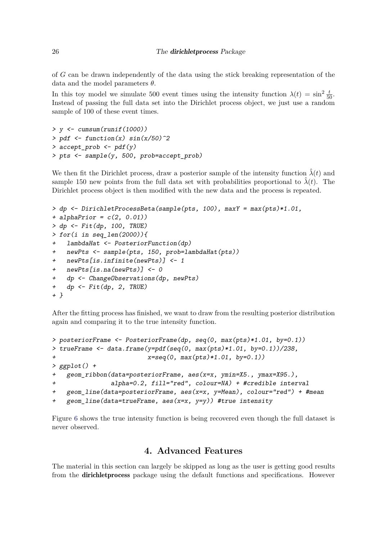#### 26 The **dirichlet process** Package

of *G* can be drawn independently of the data using the stick breaking representation of the data and the model parameters *θ*.

In this toy model we simulate 500 event times using the intensity function  $\lambda(t) = \sin^2 \frac{t}{50}$ . Instead of passing the full data set into the Dirichlet process object, we just use a random sample of 100 of these event times.

```
> y <- cumsum(runif(1000))
> pdf <- function(x) sin(x/50)^2
> accept_prob <- pdf(y)
> pts <- sample(y, 500, prob=accept_prob)
```
We then fit the Dirichlet process, draw a posterior sample of the intensity function  $\hat{\lambda}(t)$  and sample 150 new points from the full data set with probabilities proportional to  $\hat{\lambda}(t)$ . The Dirichlet process object is then modified with the new data and the process is repeated.

```
> dp <- DirichletProcessBeta(sample(pts, 100), maxY = max(pts)*1.01,
+ alphaPrior = c(2, 0.01))
> dp <- Fit(dp, 100, TRUE)
> for(i in seq_len(2000)){
+ lambdaHat <- PosteriorFunction(dp)
   + newPts <- sample(pts, 150, prob=lambdaHat(pts))
+ newPts[is.infinite(newPts)] <- 1
+ newPts[is.na(newPts)] <- 0
+ dp <- ChangeObservations(dp, newPts)
+ dp <- Fit(dp, 2, TRUE)
+ }
```
After the fitting process has finished, we want to draw from the resulting posterior distribution again and comparing it to the true intensity function.

```
> posteriorFrame <- PosteriorFrame(dp, seq(0, max(pts)*1.01, by=0.1))
> trueFrame <- data.frame(y=pdf(seq(0, max(pts)*1.01, by=0.1))/238,
+ x=seq(0, max(pts)*1.01, by=0.1))
> ggplot() +
   + geom_ribbon(data=posteriorFrame, aes(x=x, ymin=X5., ymax=X95.),
+ alpha=0.2, fill="red", colour=NA) + #credible interval
+ geom_line(data=posteriorFrame, aes(x=x, y=Mean), colour="red") + #mean
   + geom_line(data=trueFrame, aes(x=x, y=y)) #true intensity
```
Figure [6](#page-26-0) shows the true intensity function is being recovered even though the full dataset is never observed.

# **4. Advanced Features**

The material in this section can largely be skipped as long as the user is getting good results from the **dirichletprocess** package using the default functions and specifications. However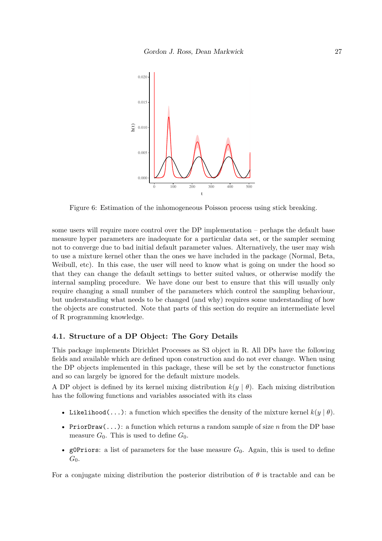<span id="page-26-0"></span>

Figure 6: Estimation of the inhomogeneous Poisson process using stick breaking.

some users will require more control over the DP implementation – perhaps the default base measure hyper parameters are inadequate for a particular data set, or the sampler seeming not to converge due to bad initial default parameter values. Alternatively, the user may wish to use a mixture kernel other than the ones we have included in the package (Normal, Beta, Weibull, etc). In this case, the user will need to know what is going on under the hood so that they can change the default settings to better suited values, or otherwise modify the internal sampling procedure. We have done our best to ensure that this will usually only require changing a small number of the parameters which control the sampling behaviour, but understanding what needs to be changed (and why) requires some understanding of how the objects are constructed. Note that parts of this section do require an intermediate level of R programming knowledge.

### **4.1. Structure of a DP Object: The Gory Details**

This package implements Dirichlet Processes as S3 object in R. All DPs have the following fields and available which are defined upon construction and do not ever change. When using the DP objects implemented in this package, these will be set by the constructor functions and so can largely be ignored for the default mixture models.

A DP object is defined by its kernel mixing distribution  $k(y | \theta)$ . Each mixing distribution has the following functions and variables associated with its class

- Likelihood(...): a function which specifies the density of the mixture kernel  $k(y | \theta)$ .
- PriorDraw(...): a function which returns a random sample of size *n* from the DP base measure  $G_0$ . This is used to define  $G_0$ .
- g0Priors: a list of parameters for the base measure  $G_0$ . Again, this is used to define *G*0.

For a conjugate mixing distribution the posterior distribution of  $\theta$  is tractable and can be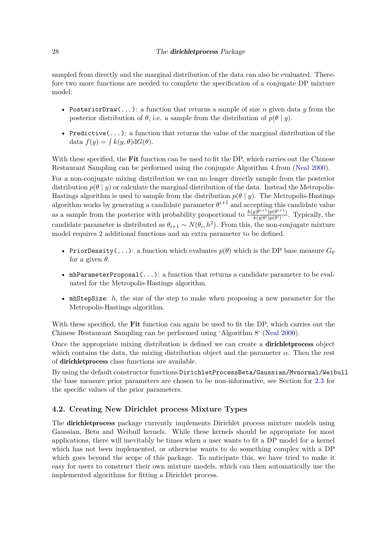sampled from directly and the marginal distribution of the data can also be evaluated. Therefore two more functions are needed to complete the specification of a conjugate DP mixture model:

- PosteriorDraw(...): a function that returns a sample of size *n* given data *y* from the posterior distribution of  $\theta$ , i.e. a sample from the distribution of  $p(\theta | y)$ .
- Predictive $(\ldots)$ : a function that returns the value of the marginal distribution of the data  $f(y) = \int k(y, \theta) dG(\theta)$ .

With these specified, the **Fit** function can be used to fit the DP, which carries out the Chinese Restaurant Sampling can be performed using the conjugate Algorithm 4 from [\(Neal 2000\)](#page-40-4).

For a non-conjugate mixing distribution we can no longer directly sample from the posterior distribution  $p(\theta | y)$  or calculate the marginal distribution of the data. Instead the Metropolis-Hastings algorithm is used to sample from the distribution  $p(\theta | y)$ . The Metropolis-Hastings algorithm works by generating a candidate parameter  $\theta^{i+1}$  and accepting this candidate value as a sample from the posterior with probability proportional to  $\frac{k(y|\theta^{i+1})p(\theta^{i+1})}{k(y|\theta^i)p(\theta^i)}$  $\frac{y|\theta^j - p(\theta^j)}{k(y|\theta^i)p(\theta^i)}$ . Typically, the candidate parameter is distributed as  $\theta_{i+1} \sim N(\theta_i, h^2)$ . From this, the non-conjugate mixture model requires 2 additional functions and an extra parameter to be defined.

- PriorDensity(...): a function which evaluates  $p(\theta)$  which is the DP base measure  $G_0$ for a given  $\theta$ .
- mhParameterProposal $(\ldots)$ : a function that returns a candidate parameter to be evaluated for the Metropolis-Hastings algorithm.
- mhStepSize: *h*, the size of the step to make when proposing a new parameter for the Metropolis-Hastings algorithm.

With these specified, the **Fit** function can again be used to fit the DP, which carries out the Chinese Restaurant Sampling can be performed using 'Algorithm 8' [\(Neal 2000\)](#page-40-4).

Once the appropriate mixing distribution is defined we can create a dirichletprocess object which contains the data, the mixing distribution object and the parameter  $\alpha$ . Then the rest of dirichletprocess class functions are available.

By using the default constructor functions DirichletProcessBeta/Gaussian/Mvnormal/Weibull the base measure prior parameters are chosen to be non-informative, see Section for [2.3](#page-8-0) for the specific values of the prior parameters.

### <span id="page-27-0"></span>**4.2. Creating New Dirichlet process Mixture Types**

The dirichletprocess package currently implements Dirichlet process mixture models using Gaussian, Beta and Weibull kernels. While these kernels should be appropriate for most applications, there will inevitably be times when a user wants to fit a DP model for a kernel which has not been implemented, or otherwise wants to do something complex with a DP which goes beyond the scope of this package. To anticipate this, we have tried to make it easy for users to construct their own mixture models, which can then automatically use the implemented algorithms for fitting a Dirichlet process.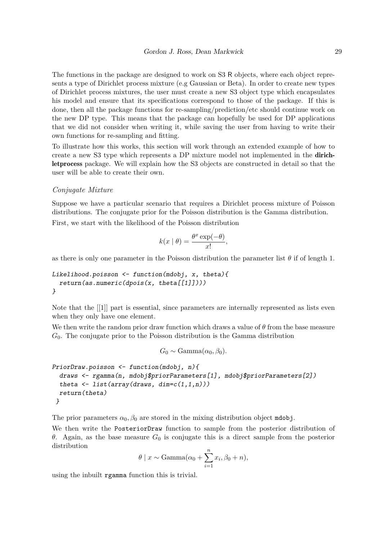The functions in the package are designed to work on S3 R objects, where each object represents a type of Dirichlet process mixture (e.g Gaussian or Beta). In order to create new types of Dirichlet process mixtures, the user must create a new S3 object type which encapsulates his model and ensure that its specifications correspond to those of the package. If this is done, then all the package functions for re-sampling/prediction/etc should continue work on the new DP type. This means that the package can hopefully be used for DP applications that we did not consider when writing it, while saving the user from having to write their own functions for re-sampling and fitting.

To illustrate how this works, this section will work through an extended example of how to create a new S3 type which represents a DP mixture model not implemented in the dirichletprocess package. We will explain how the S3 objects are constructed in detail so that the user will be able to create their own.

#### *Conjugate Mixture*

Suppose we have a particular scenario that requires a Dirichlet process mixture of Poisson distributions. The conjugate prior for the Poisson distribution is the Gamma distribution.

First, we start with the likelihood of the Poisson distribution

$$
k(x | \theta) = \frac{\theta^x \exp(-\theta)}{x!},
$$

as there is only one parameter in the Poisson distribution the parameter list  $\theta$  if of length 1.

```
Likelihood.poisson <- function(mdobj, x, theta){
  return(as.numeric(dpois(x, theta[[1]])))
}
```
Note that the [[1]] part is essential, since parameters are internally represented as lists even when they only have one element.

We then write the random prior draw function which draws a value of  $\theta$  from the base measure *G*0. The conjugate prior to the Poisson distribution is the Gamma distribution

 $G_0 \sim \text{Gamma}(\alpha_0, \beta_0)$ .

```
PriorDraw.poisson <- function(mdobj, n){
  draws <- rgamma(n, mdobj$priorParameters[1], mdobj$priorParameters[2])
  theta <- list(array(draws, dim=c(1,1,n)))
  return(theta)
 }
```
The prior parameters  $\alpha_0$ ,  $\beta_0$  are stored in the mixing distribution object mdobj.

We then write the PosteriorDraw function to sample from the posterior distribution of *θ*. Again, as the base measure *G*<sup>0</sup> is conjugate this is a direct sample from the posterior distribution

$$
\theta \mid x \sim \text{Gamma}(\alpha_0 + \sum_{i=1}^n x_i, \beta_0 + n),
$$

using the inbuilt rgamma function this is trivial.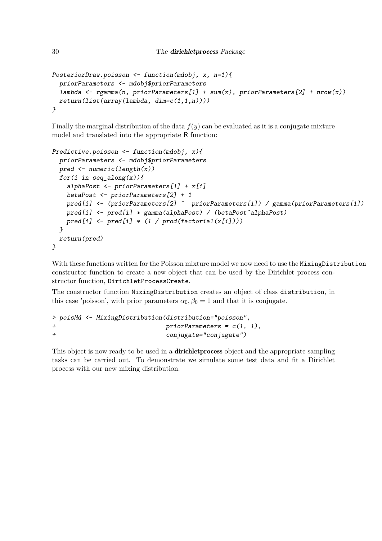```
PosteriorDraw.poisson <- function(mdobj, x, n=1){
 priorParameters <- mdobj$priorParameters
 lambda <- rgamma(n, priorParameters[1] + sum(x), priorParameters[2] + nrow(x))
 return(list(array(lambda, dim=c(1,1,n))))
}
```
Finally the marginal distribution of the data  $f(y)$  can be evaluated as it is a conjugate mixture model and translated into the appropriate R function:

```
Predictive.poisson <- function(mdobj, x){
 priorParameters <- mdobj$priorParameters
 pred <- numeric(length(x))
 for(i in seq_along(x)){
   alphaPost <- priorParameters[1] + x[i]
    betaPost <- priorParameters[2] + 1
   pred[i] <- (priorParameters[2] ^ priorParameters[1]) / gamma(priorParameters[1])
   pred[i] <- pred[i] * gamma(alphaPost) / (betaPost^alphaPost)
   pred[i] <- pred[i] * (1 / prod(factorial(x[i])))
 }
 return(pred)
}
```
With these functions written for the Poisson mixture model we now need to use the MixingDistribution constructor function to create a new object that can be used by the Dirichlet process constructor function, DirichletProcessCreate.

The constructor function MixingDistribution creates an object of class distribution, in this case 'poisson', with prior parameters  $\alpha_0$ ,  $\beta_0 = 1$  and that it is conjugate.

```
> poisMd <- MixingDistribution(distribution="poisson",
+ priorParameters = c(1, 1),
+ conjugate="conjugate")
```
This object is now ready to be used in a **dirichlet process** object and the appropriate sampling tasks can be carried out. To demonstrate we simulate some test data and fit a Dirichlet process with our new mixing distribution.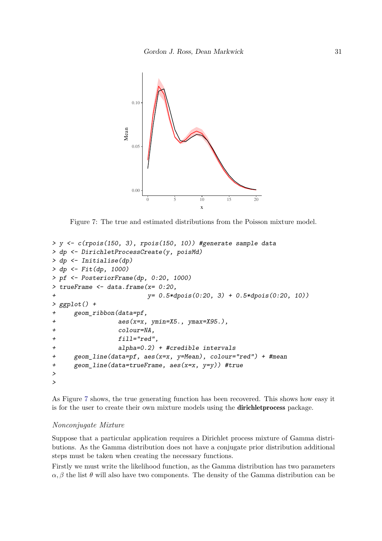<span id="page-30-0"></span>

Figure 7: The true and estimated distributions from the Poisson mixture model.

```
> y <- c(rpois(150, 3), rpois(150, 10)) #generate sample data
> dp <- DirichletProcessCreate(y, poisMd)
> dp <- Initialise(dp)
> dp <- Fit(dp, 1000)
> pf <- PosteriorFrame(dp, 0:20, 1000)
> trueFrame <- data.frame(x= 0:20,
                        + y= 0.5*dpois(0:20, 3) + 0.5*dpois(0:20, 10))
> ggplot() +
+ geom_ribbon(data=pf,
+ aes(x=x, ymin=X5., ymax=X95.),
                 + colour=NA,
                 + fill="red",
+ alpha=0.2) + #credible intervals
+ geom_line(data=pf, aes(x=x, y=Mean), colour="red") + #mean
+ geom_line(data=trueFrame, aes(x=x, y=y)) #true
>
>
```
As Figure [7](#page-30-0) shows, the true generating function has been recovered. This shows how easy it is for the user to create their own mixture models using the dirichletprocess package.

### *Nonconjugate Mixture*

Suppose that a particular application requires a Dirichlet process mixture of Gamma distributions. As the Gamma distribution does not have a conjugate prior distribution additional steps must be taken when creating the necessary functions.

Firstly we must write the likelihood function, as the Gamma distribution has two parameters  $\alpha$ ,  $\beta$  the list  $\theta$  will also have two components. The density of the Gamma distribution can be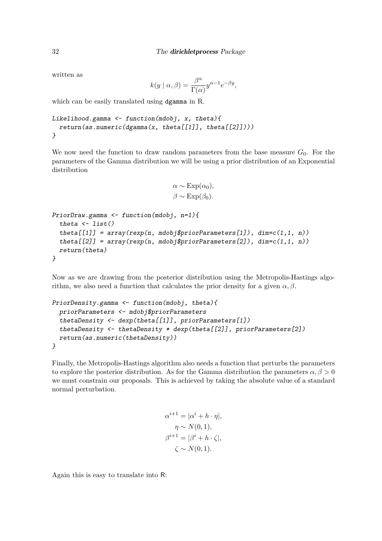written as

$$
k(y \mid \alpha, \beta) = \frac{\beta^{\alpha}}{\Gamma(\alpha)} y^{\alpha - 1} e^{-\beta y},
$$

which can be easily translated using dgamma in R.

```
Likelihood.gamma <- function(mdobj, x, theta){
 return(as.numeric(dgamma(x, theta[[1]], theta[[2]])))
}
```
We now need the function to draw random parameters from the base measure  $G_0$ . For the parameters of the Gamma distribution we will be using a prior distribution of an Exponential distribution

```
\alpha \sim \text{Exp}(\alpha_0),
\beta \sim \text{Exp}(\beta_0).
```

```
PriorDraw.gamma <- function(mdobj, n=1){
  theta <- list()
  theta[[1]] = array(rexp(n, mdob); Pariance[1]), dim = c(1, 1, n)theta[2] = array(rexp(n, mdob); Pariance[2], dim=c(1, 1, n)return(theta)
}
```
Now as we are drawing from the posterior distribution using the Metropolis-Hastings algorithm, we also need a function that calculates the prior density for a given  $\alpha, \beta$ .

```
PriorDensity.gamma <- function(mdobj, theta){
 priorParameters <- mdobj$priorParameters
 thetaDensity <- dexp(theta[[1]], priorParameters[1])
 thetaDensity <- thetaDensity * dexp(theta[[2]], priorParameters[2])
 return(as.numeric(thetaDensity))
}
```
Finally, the Metropolis-Hastings algorithm also needs a function that perturbs the parameters to explore the posterior distribution. As for the Gamma distribution the parameters  $\alpha, \beta > 0$ we must constrain our proposals. This is achieved by taking the absolute value of a standard normal perturbation.

```
\alpha^{i+1} = |\alpha^i + n \cdot \eta|,\eta \sim N(0, 1),
\beta^{i+1} = |\beta^i + h \cdot \zeta|,\zeta \sim N(0, 1).
```
Again this is easy to translate into R: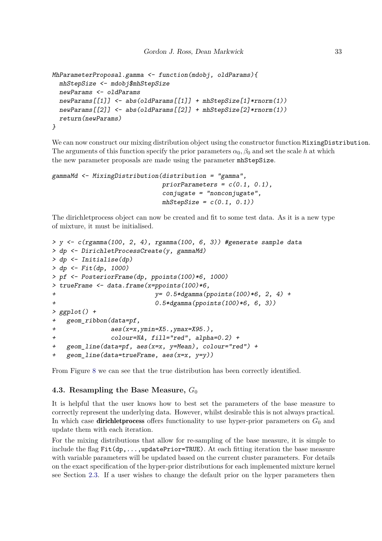```
MhParameterProposal.gamma <- function(mdobj, oldParams){
 mhStepSize <- mdobj$mhStepSize
 newParams <- oldParams
 newParams[[1]] <- abs(oldParams[[1]] + mhStepSize[1]*rnorm(1))
 newParams[[2]] <- abs(oldParams[[2]] + mhStepSize[2]*rnorm(1))
 return(newParams)
}
```
We can now construct our mixing distribution object using the constructor function MixingDistribution. The arguments of this function specify the prior parameters  $\alpha_0$ ,  $\beta_0$  and set the scale *h* at which the new parameter proposals are made using the parameter mhStepSize.

```
gammaMd <- MixingDistribution(distribution = "gamma",
                              priorParameters = c(0.1, 0.1),
                              conjugate = "nonconjugate",
                              mhStepSize = c(0.1, 0.1))
```
The dirichletprocess object can now be created and fit to some test data. As it is a new type of mixture, it must be initialised.

```
> y <- c(rgamma(100, 2, 4), rgamma(100, 6, 3)) #generate sample data
> dp <- DirichletProcessCreate(y, gammaMd)
> dp <- Initialise(dp)
> dp <- Fit(dp, 1000)
> pf <- PosteriorFrame(dp, ppoints(100)*6, 1000)
> trueFrame <- data.frame(x=ppoints(100)*6,
+ y= 0.5*dgamma(ppoints(100)*6, 2, 4) +
+ 0.5*dgamma(ppoints(100)*6, 6, 3))
> ggplot() +
   + geom_ribbon(data=pf,
+ aes(x=x,ymin=X5.,ymax=X95.),
+ colour=NA, fill="red", alpha=0.2) +
+ geom_line(data=pf, aes(x=x, y=Mean), colour="red") +
+ geom_line(data=trueFrame, aes(x=x, y=y))
```
From Figure [8](#page-33-0) we can see that the true distribution has been correctly identified.

### **4.3. Resampling the Base Measure,** *G*<sup>0</sup>

It is helpful that the user knows how to best set the parameters of the base measure to correctly represent the underlying data. However, whilst desirable this is not always practical. In which case **dirichlet process** offers functionality to use hyper-prior parameters on  $G_0$  and update them with each iteration.

For the mixing distributions that allow for re-sampling of the base measure, it is simple to include the flag  $Fit(dp, \ldots, updatePrior = TRUE)$ . At each fitting iteration the base measure with variable parameters will be updated based on the current cluster parameters. For details on the exact specification of the hyper-prior distributions for each implemented mixture kernel see Section [2.3.](#page-8-0) If a user wishes to change the default prior on the hyper parameters then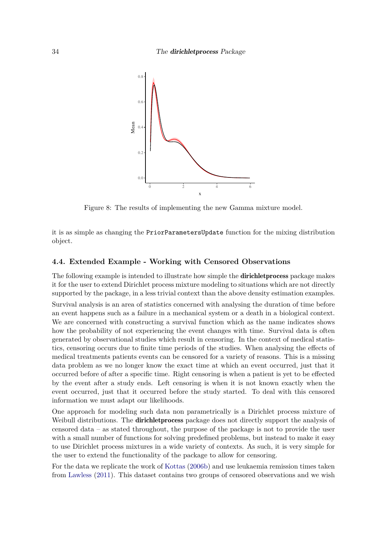<span id="page-33-0"></span>

Figure 8: The results of implementing the new Gamma mixture model.

it is as simple as changing the PriorParametersUpdate function for the mixing distribution object.

### **4.4. Extended Example - Working with Censored Observations**

The following example is intended to illustrate how simple the dirichletprocess package makes it for the user to extend Dirichlet process mixture modeling to situations which are not directly supported by the package, in a less trivial context than the above density estimation examples.

Survival analysis is an area of statistics concerned with analysing the duration of time before an event happens such as a failure in a mechanical system or a death in a biological context. We are concerned with constructing a survival function which as the name indicates shows how the probability of not experiencing the event changes with time. Survival data is often generated by observational studies which result in censoring. In the context of medical statistics, censoring occurs due to finite time periods of the studies. When analysing the effects of medical treatments patients events can be censored for a variety of reasons. This is a missing data problem as we no longer know the exact time at which an event occurred, just that it occurred before of after a specific time. Right censoring is when a patient is yet to be effected by the event after a study ends. Left censoring is when it is not known exactly when the event occurred, just that it occurred before the study started. To deal with this censored information we must adapt our likelihoods.

One approach for modeling such data non parametrically is a Dirichlet process mixture of Weibull distributions. The **dirichlet process** package does not directly support the analysis of censored data – as stated throughout, the purpose of the package is not to provide the user with a small number of functions for solving predefined problems, but instead to make it easy to use Dirichlet process mixtures in a wide variety of contexts. As such, it is very simple for the user to extend the functionality of the package to allow for censoring.

For the data we replicate the work of [Kottas](#page-39-9) [\(2006b\)](#page-39-9) and use leukaemia remission times taken from [Lawless](#page-39-10) [\(2011\)](#page-39-10). This dataset contains two groups of censored observations and we wish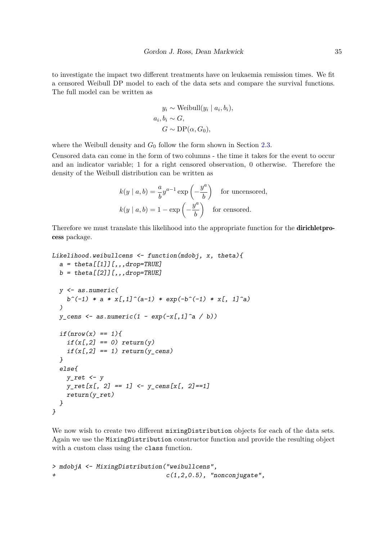to investigate the impact two different treatments have on leukaemia remission times. We fit a censored Weibull DP model to each of the data sets and compare the survival functions. The full model can be written as

$$
y_i \sim \text{Weibull}(y_i \mid a_i, b_i),
$$
  

$$
a_i, b_i \sim G,
$$
  

$$
G \sim \text{DP}(\alpha, G_0),
$$

where the Weibull density and  $G_0$  follow the form shown in Section [2.3.](#page-8-0)

Censored data can come in the form of two columns - the time it takes for the event to occur and an indicator variable; 1 for a right censored observation, 0 otherwise. Therefore the density of the Weibull distribution can be written as

$$
k(y \mid a, b) = \frac{a}{b} y^{a-1} \exp\left(-\frac{y^a}{b}\right)
$$
 for uncensored,  

$$
k(y \mid a, b) = 1 - \exp\left(-\frac{y^a}{b}\right)
$$
 for censored.

Therefore we must translate this likelihood into the appropriate function for the dirichletprocess package.

```
Likelihood.weibullcens <- function(mdobj, x, theta){
  a = theta[[1]][,,,drop=TRUE]
  b = theta[[2]][,,,drop=TRUE]
  y <- as.numeric(
    b^(-1) * a * x[, 1]^(a-1) * exp(-b^(-1) * x[, 1]^a))
  y cens \leq as.numeric(1 - exp(-x[,1]^a / b))
  if(\text{nrow}(x) == 1){
    if(x[,2] == 0) return(y)
    if(x[,2] == 1) return(y_cens)
  }
  else{
    y_ret <- y
    y_ret[x[, 2] == 1] <- y_cens[x[, 2]==1]
    return(y_ret)
  }
}
```
We now wish to create two different mixingDistribution objects for each of the data sets. Again we use the MixingDistribution constructor function and provide the resulting object with a custom class using the class function.

```
> mdobjA <- MixingDistribution("weibullcens",
+ c(1,2,0.5), "nonconjugate",
```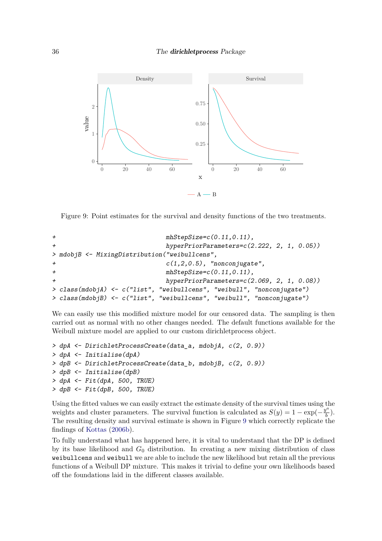<span id="page-35-0"></span>

Figure 9: Point estimates for the survival and density functions of the two treatments.

```
+ mhStepSize=c(0.11,0.11),
+ hyperPriorParameters=c(2.222, 2, 1, 0.05))
> mdobjB <- MixingDistribution("weibullcens",
                       + c(1,2,0.5), "nonconjugate",
+ mhStepSize=c(0.11,0.11),
+ hyperPriorParameters=c(2.069, 2, 1, 0.08))
> class(mdobjA) <- c("list", "weibullcens", "weibull", "nonconjugate")
> class(mdobjB) <- c("list", "weibullcens", "weibull", "nonconjugate")
```
We can easily use this modified mixture model for our censored data. The sampling is then carried out as normal with no other changes needed. The default functions available for the Weibull mixture model are applied to our custom dirichletprocess object.

```
> dpA <- DirichletProcessCreate(data_a, mdobjA, c(2, 0.9))
> dpA <- Initialise(dpA)
> dpB <- DirichletProcessCreate(data_b, mdobjB, c(2, 0.9))
> dpB <- Initialise(dpB)
> dpA <- Fit(dpA, 500, TRUE)
> dpB <- Fit(dpB, 500, TRUE)
```
Using the fitted values we can easily extract the estimate density of the survival times using the weights and cluster parameters. The survival function is calculated as  $S(y) = 1 - \exp(-\frac{y^a}{b})$  $\frac{f^2}{b}$ ). The resulting density and survival estimate is shown in Figure [9](#page-35-0) which correctly replicate the findings of [Kottas](#page-39-9) [\(2006b\)](#page-39-9).

To fully understand what has happened here, it is vital to understand that the DP is defined by its base likelihood and *G*<sup>0</sup> distribution. In creating a new mixing distribution of class weibullcens and weibull we are able to include the new likelihood but retain all the previous functions of a Weibull DP mixture. This makes it trivial to define your own likelihoods based off the foundations laid in the different classes available.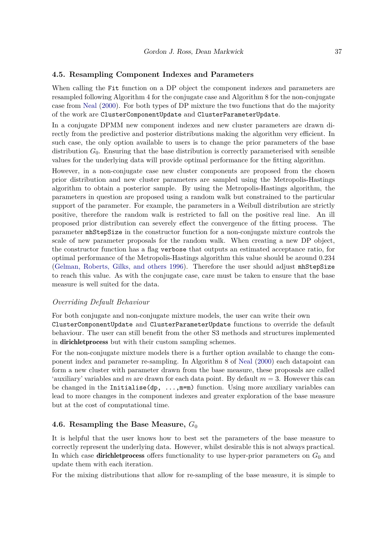### **4.5. Resampling Component Indexes and Parameters**

When calling the Fit function on a DP object the component indexes and parameters are resampled following Algorithm 4 for the conjugate case and Algorithm 8 for the non-conjugate case from [Neal](#page-40-4) [\(2000\)](#page-40-4). For both types of DP mixture the two functions that do the majority of the work are ClusterComponentUpdate and ClusterParameterUpdate.

In a conjugate DPMM new component indexes and new cluster parameters are drawn directly from the predictive and posterior distributions making the algorithm very efficient. In such case, the only option available to users is to change the prior parameters of the base distribution  $G_0$ . Ensuring that the base distribution is correctly parameterised with sensible values for the underlying data will provide optimal performance for the fitting algorithm.

However, in a non-conjugate case new cluster components are proposed from the chosen prior distribution and new cluster parameters are sampled using the Metropolis-Hastings algorithm to obtain a posterior sample. By using the Metropolis-Hastings algorithm, the parameters in question are proposed using a random walk but constrained to the particular support of the parameter. For example, the parameters in a Weibull distribution are strictly positive, therefore the random walk is restricted to fall on the positive real line. An ill proposed prior distribution can severely effect the convergence of the fitting process. The parameter mhStepSize in the constructor function for a non-conjugate mixture controls the scale of new parameter proposals for the random walk. When creating a new DP object, the constructor function has a flag verbose that outputs an estimated acceptance ratio, for optimal performance of the Metropolis-Hastings algorithm this value should be around 0*.*234 [\(Gelman, Roberts, Gilks, and others 1996\)](#page-39-11). Therefore the user should adjust mhStepSize to reach this value. As with the conjugate case, care must be taken to ensure that the base measure is well suited for the data.

### *Overriding Default Behaviour*

For both conjugate and non-conjugate mixture models, the user can write their own ClusterComponentUpdate and ClusterParameterUpdate functions to override the default behaviour. The user can still benefit from the other S3 methods and structures implemented in dirichletprocess but with their custom sampling schemes.

For the non-conjugate mixture models there is a further option available to change the component index and parameter re-sampling. In Algorithm 8 of [Neal](#page-40-4) [\(2000\)](#page-40-4) each datapoint can form a new cluster with parameter drawn from the base measure, these proposals are called 'auxiliary' variables and *m* are drawn for each data point. By default  $m = 3$ . However this can be changed in the Initialise(dp,  $\dots$ ,  $m=m$ ) function. Using more auxiliary variables can lead to more changes in the component indexes and greater exploration of the base measure but at the cost of computational time.

### **4.6. Resampling the Base Measure,** *G*<sup>0</sup>

It is helpful that the user knows how to best set the parameters of the base measure to correctly represent the underlying data. However, whilst desirable this is not always practical. In which case **dirichlet process** offers functionality to use hyper-prior parameters on  $G_0$  and update them with each iteration.

For the mixing distributions that allow for re-sampling of the base measure, it is simple to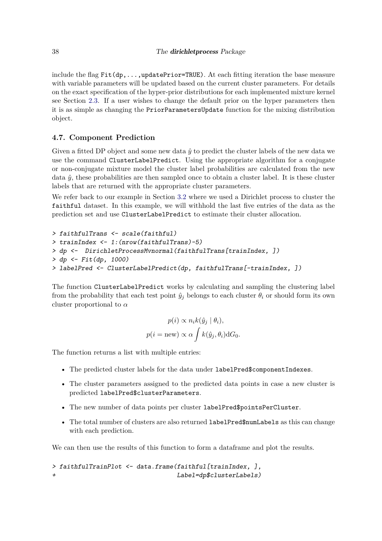include the flag  $Fit(dp, \ldots, updatePrior = TRUE)$ . At each fitting iteration the base measure with variable parameters will be updated based on the current cluster parameters. For details on the exact specification of the hyper-prior distributions for each implemented mixture kernel see Section [2.3.](#page-8-0) If a user wishes to change the default prior on the hyper parameters then it is as simple as changing the PriorParametersUpdate function for the mixing distribution object.

### **4.7. Component Prediction**

Given a fitted DP object and some new data  $\hat{y}$  to predict the cluster labels of the new data we use the command ClusterLabelPredict. Using the appropriate algorithm for a conjugate or non-conjugate mixture model the cluster label probabilities are calculated from the new data  $\hat{y}$ , these probabilities are then sampled once to obtain a cluster label. It is these cluster labels that are returned with the appropriate cluster parameters.

We refer back to our example in Section [3.2](#page-16-1) where we used a Dirichlet process to cluster the faithful dataset. In this example, we will withhold the last five entries of the data as the prediction set and use ClusterLabelPredict to estimate their cluster allocation.

```
> faithfulTrans <- scale(faithful)
> trainIndex <- 1:(nrow(faithfulTrans)-5)
> dp <- DirichletProcessMvnormal(faithfulTrans[trainIndex, ])
> dp <- Fit(dp, 1000)
> labelPred <- ClusterLabelPredict(dp, faithfulTrans[-trainIndex, ])
```
The function ClusterLabelPredict works by calculating and sampling the clustering label from the probability that each test point  $\hat{y}_i$  belongs to each cluster  $\theta_i$  or should form its own cluster proportional to *α*

$$
p(i) \propto n_i k(\hat{y}_j \mid \theta_i),
$$
  

$$
p(i = new) \propto \alpha \int k(\hat{y}_j, \theta_i) dG_0.
$$

The function returns a list with multiple entries:

- The predicted cluster labels for the data under labelPred\$componentIndexes.
- The cluster parameters assigned to the predicted data points in case a new cluster is predicted labelPred\$clusterParameters.
- The new number of data points per cluster labelPred\$pointsPerCluster.
- The total number of clusters are also returned labelPred\$numLabels as this can change with each prediction.

We can then use the results of this function to form a dataframe and plot the results.

```
> faithfulTrainPlot <- data.frame(faithful[trainIndex, ],
+ Label=dp$clusterLabels)
```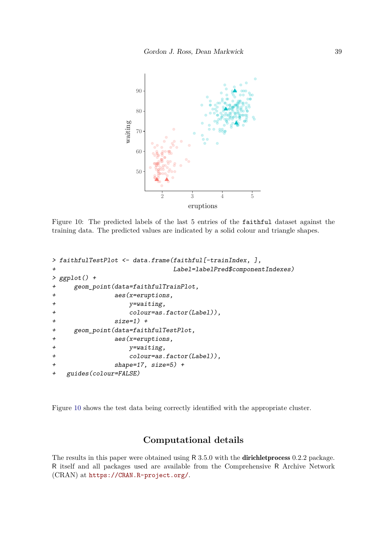<span id="page-38-0"></span>

Figure 10: The predicted labels of the last 5 entries of the faithful dataset against the training data. The predicted values are indicated by a solid colour and triangle shapes.

```
> faithfulTestPlot <- data.frame(faithful[-trainIndex, ],
                          + Label=labelPred$componentIndexes)
> ggplot() +
+ geom_point(data=faithfulTrainPlot,
+ aes(x=eruptions,
+ y=waiting,
                + colour=as.factor(Label)),
             + size=1) +
    + geom_point(data=faithfulTestPlot,
+ aes(x=eruptions,
+ y=waiting,
+ colour=as.factor(Label)),
+ shape=17, size=5) +
+ guides(colour=FALSE)
```
Figure [10](#page-38-0) shows the test data being correctly identified with the appropriate cluster.

## **Computational details**

The results in this paper were obtained using R 3.5.0 with the **dirichlet process** 0.2.2 package. R itself and all packages used are available from the Comprehensive R Archive Network (CRAN) at <https://CRAN.R-project.org/>.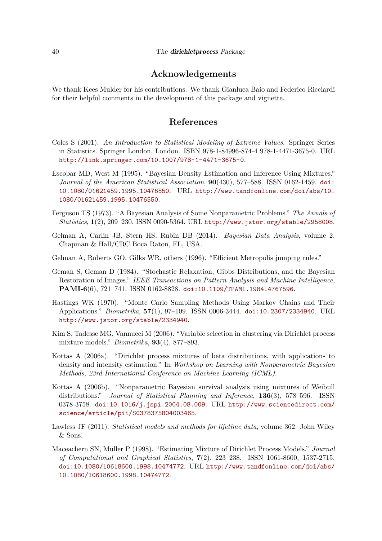### **Acknowledgements**

We thank Kees Mulder for his contributions. We thank Gianluca Baio and Federico Ricciardi for their helpful comments in the development of this package and vignette.

### **References**

- <span id="page-39-4"></span>Coles S (2001). *An Introduction to Statistical Modeling of Extreme Values*. Springer Series in Statistics. Springer London, London. ISBN 978-1-84996-874-4 978-1-4471-3675-0. URL <http://link.springer.com/10.1007/978-1-4471-3675-0>.
- <span id="page-39-3"></span>Escobar MD, West M (1995). "Bayesian Density Estimation and Inference Using Mixtures." *Journal of the American Statistical Association*, **90**(430), 577–588. ISSN 0162-1459. [doi:](http://dx.doi.org/10.1080/01621459.1995.10476550) [10.1080/01621459.1995.10476550](http://dx.doi.org/10.1080/01621459.1995.10476550). URL [http://www.tandfonline.com/doi/abs/10.](http://www.tandfonline.com/doi/abs/10.1080/01621459.1995.10476550) [1080/01621459.1995.10476550](http://www.tandfonline.com/doi/abs/10.1080/01621459.1995.10476550).
- <span id="page-39-0"></span>Ferguson TS (1973). "A Bayesian Analysis of Some Nonparametric Problems." *The Annals of Statistics*, **1**(2), 209–230. ISSN 0090-5364. URL <http://www.jstor.org/stable/2958008>.
- <span id="page-39-8"></span>Gelman A, Carlin JB, Stern HS, Rubin DB (2014). *Bayesian Data Analysis*, volume 2. Chapman & Hall/CRC Boca Raton, FL, USA.
- <span id="page-39-11"></span>Gelman A, Roberts GO, Gilks WR, others (1996). "Efficient Metropolis jumping rules."
- <span id="page-39-2"></span>Geman S, Geman D (1984). "Stochastic Relaxation, Gibbs Distributions, and the Bayesian Restoration of Images." *IEEE Transactions on Pattern Analysis and Machine Intelligence*, **PAMI-6**(6), 721–741. ISSN 0162-8828. [doi:10.1109/TPAMI.1984.4767596](http://dx.doi.org/10.1109/TPAMI.1984.4767596).
- <span id="page-39-1"></span>Hastings WK (1970). "Monte Carlo Sampling Methods Using Markov Chains and Their Applications." *Biometrika*, **57**(1), 97–109. ISSN 0006-3444. [doi:10.2307/2334940](http://dx.doi.org/10.2307/2334940). URL <http://www.jstor.org/stable/2334940>.
- <span id="page-39-7"></span>Kim S, Tadesse MG, Vannucci M (2006). "Variable selection in clustering via Dirichlet process mixture models." *Biometrika*, **93**(4), 877–893.
- <span id="page-39-6"></span>Kottas A (2006a). "Dirichlet process mixtures of beta distributions, with applications to density and intensity estimation." In *Workshop on Learning with Nonparametric Bayesian Methods, 23rd International Conference on Machine Learning (ICML)*.
- <span id="page-39-9"></span>Kottas A (2006b). "Nonparametric Bayesian survival analysis using mixtures of Weibull distributions." *Journal of Statistical Planning and Inference*, **136**(3), 578–596. ISSN 0378-3758. [doi:10.1016/j.jspi.2004.08.009](http://dx.doi.org/10.1016/j.jspi.2004.08.009). URL [http://www.sciencedirect.com/](http://www.sciencedirect.com/science/article/pii/S0378375804003465) [science/article/pii/S0378375804003465](http://www.sciencedirect.com/science/article/pii/S0378375804003465).
- <span id="page-39-10"></span>Lawless JF (2011). *Statistical models and methods for lifetime data*, volume 362. John Wiley & Sons.
- <span id="page-39-5"></span>Maceachern SN, Müller P (1998). "Estimating Mixture of Dirichlet Process Models." *Journal of Computational and Graphical Statistics*, **7**(2), 223–238. ISSN 1061-8600, 1537-2715. [doi:10.1080/10618600.1998.10474772](http://dx.doi.org/10.1080/10618600.1998.10474772). URL [http://www.tandfonline.com/doi/abs/](http://www.tandfonline.com/doi/abs/10.1080/10618600.1998.10474772) [10.1080/10618600.1998.10474772](http://www.tandfonline.com/doi/abs/10.1080/10618600.1998.10474772).